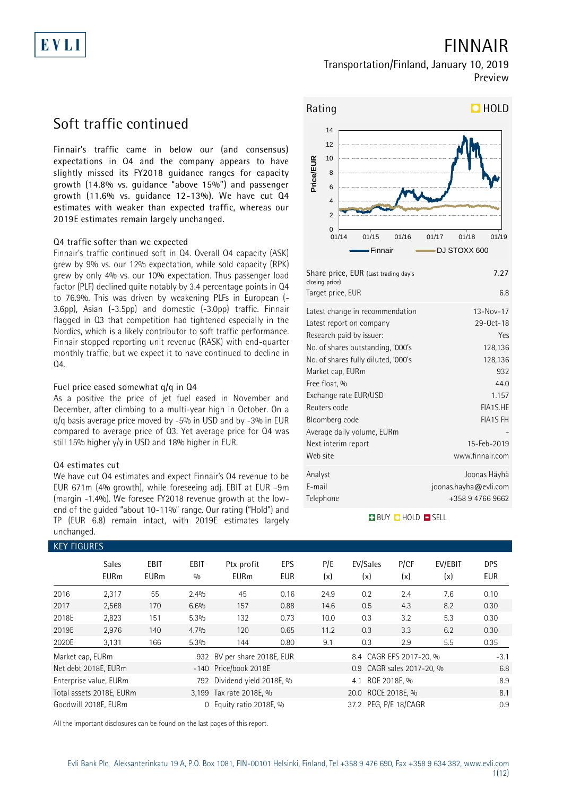# EVLI

## **FINNAIR**

### **Transportation/Finland, January 10, 2019 Preview**

## **Soft traffic continued**

**Finnair's traffic came in below our (and consensus) expectations in Q4 and the company appears to have slightly missed its FY2018 guidance ranges for capacity growth (14.8% vs. guidance "above 15%") and passenger growth (11.6% vs. guidance 12-13%). We have cut Q4 estimates with weaker than expected traffic, whereas our 2019E estimates remain largely unchanged.**

### **Q4 traffic softer than we expected**

Finnair's traffic continued soft in Q4. Overall Q4 capacity (ASK) grew by 9% vs. our 12% expectation, while sold capacity (RPK) grew by only 4% vs. our 10% expectation. Thus passenger load factor (PLF) declined quite notably by 3.4 percentage points in Q4 to 76.9%. This was driven by weakening PLFs in European (- 3.6pp), Asian (-3.5pp) and domestic (-3.0pp) traffic. Finnair flagged in Q3 that competition had tightened especially in the Nordics, which is a likely contributor to soft traffic performance. Finnair stopped reporting unit revenue (RASK) with end-quarter monthly traffic, but we expect it to have continued to decline in Q4.

### **Fuel price eased somewhat q/q in Q4**

As a positive the price of jet fuel eased in November and December, after climbing to a multi-year high in October. On a  $q/q$  basis average price moved by -5% in USD and by -3% in EUR compared to average price of Q3. Yet average price for Q4 was still 15% higher y/y in USD and 18% higher in EUR.

### **Q4 estimates cut**

We have cut Q4 estimates and expect Finnair's Q4 revenue to be EUR 671m (4% growth), while foreseeing adj. EBIT at EUR -9m (margin -1.4%). We foresee FY2018 revenue growth at the lowend of the guided "about 10-11%" range. Our rating ("Hold") and TP (EUR 6.8) remain intact, with 2019E estimates largely unchanged.

### **KEY FIGURES**



| Share price, EUR (Last trading day's<br>closing price) | 7.27                  |
|--------------------------------------------------------|-----------------------|
| Target price, EUR                                      | 6.8                   |
| Latest change in recommendation                        | $13 - Nov - 17$       |
| Latest report on company                               | 29-0ct-18             |
| Research paid by issuer:                               | Yes                   |
| No. of shares outstanding, '000's                      | 128,136               |
| No. of shares fully diluted, '000's                    | 128,136               |
| Market cap, EURm                                       | 932                   |
| Free float, %                                          | 44.0                  |
| Exchange rate EUR/USD                                  | 1.157                 |
| Reuters code                                           | FIA1S.HE              |
| Bloomberg code                                         | <b>FIA1S FH</b>       |
| Average daily volume, EURm                             |                       |
| Next interim report                                    | 15-Feb-2019           |
| Web site                                               | www.finnair.com       |
| Analyst                                                | Joonas Häyhä          |
| E-mail                                                 | joonas.hayha@evli.com |
| Telephone                                              | +358 9 4766 9662      |

### **BUY CHOLD SELL**

| KET FIUURES      |                             |                            |                    |                             |                   |            |                           |             |                |                   |
|------------------|-----------------------------|----------------------------|--------------------|-----------------------------|-------------------|------------|---------------------------|-------------|----------------|-------------------|
|                  | <b>Sales</b><br><b>EURm</b> | <b>EBIT</b><br><b>EURm</b> | <b>EBIT</b><br>0/0 | Ptx profit<br><b>EURm</b>   | EPS<br><b>EUR</b> | P/E<br>(x) | EV/Sales<br>(x)           | P/CF<br>(x) | EV/EBIT<br>(x) | <b>DPS</b><br>EUR |
| 2016             | 2,317                       | 55                         | 2.4%               | 45                          | 0.16              | 24.9       | 0.2                       | 2.4         | 7.6            | 0.10              |
| 2017             | 2,568                       | 170                        | 6.6%               | 157                         | 0.88              | 14.6       | 0.5                       | 4.3         | 8.2            | 0.30              |
| 2018E            | 2,823                       | 151                        | 5.3%               | 132                         | 0.73              | 10.0       | 0.3                       | 3.2         | 5.3            | 0.30              |
| 2019E            | 2,976                       | 140                        | 4.7%               | 120                         | 0.65              | 11.2       | 0.3                       | 3.3         | 6.2            | 0.30              |
| 2020E            | 3,131                       | 166                        | 5.3%               | 144                         | 0.80              | 9.1        | 0.3                       | 2.9         | 5.5            | 0.35              |
| Market cap, EURm |                             |                            |                    | 932 BV per share 2018E, EUR |                   |            | 8.4 CAGR EPS 2017-20, %   |             |                | $-3.1$            |
|                  | Net debt 2018E, EURm        |                            |                    | -140 Price/book 2018E       |                   |            | 0.9 CAGR sales 2017-20, % |             |                | 6.8               |
|                  | Enterprise value, EURm      |                            | 792                | Dividend yield 2018E, %     |                   |            | ROE 2018E, %<br>4.1       |             |                | 8.9               |
|                  | Total assets 2018E, EURm    |                            |                    | 3.199 Tax rate 2018E, %     |                   |            | 20.0 ROCE 2018E, %        |             |                | 8.1               |
|                  | Goodwill 2018E, EURm        |                            | 0                  | Equity ratio 2018E, %       |                   |            | 37.2 PEG, P/E 18/CAGR     |             |                | 0.9               |

All the important disclosures can be found on the last pages of this report.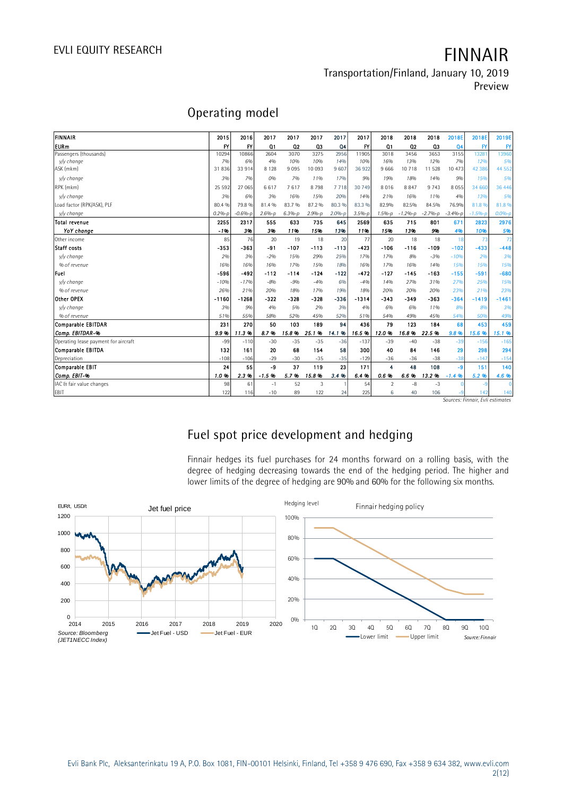**Transportation/Finland, January 10, 2019 Preview**

## **Operating model**

|                                      |              |                 |                |            |            |                |            |                         |           |             |                                 |                                         | <b>IICVICW</b> |
|--------------------------------------|--------------|-----------------|----------------|------------|------------|----------------|------------|-------------------------|-----------|-------------|---------------------------------|-----------------------------------------|----------------|
|                                      |              |                 |                |            |            |                |            |                         |           |             |                                 |                                         |                |
|                                      |              | Operating model |                |            |            |                |            |                         |           |             |                                 |                                         |                |
| FINNAIR                              | 2015         | 2016            | 2017           | 2017       | 2017       | 2017           | 2017       | 2018                    | 2018      | 2018        | 2018E                           | 2018E                                   | 2019E          |
| lEURm                                | $\mathsf{f}$ | $\mathsf{f}$    | Q <sub>1</sub> | 02         | 03         | Q <sub>4</sub> | <b>IY</b>  | Q <sub>1</sub>          | 02        | Q3          | Q <sub>4</sub>                  | FY                                      | $\mathsf{FY}$  |
| Passengers (thousands)               | 10294        | 10866           | 2604           | 3070       | 3275       | 2956           | 11905      | 3018                    | 3456      | 3653        | 3155                            | 13281                                   | 13960          |
| v/v change                           | 7%           | 6%              | 4%             | 10%        | 10%        | 14%            | 10%        | 16%                     | 13%       | 12%         | 7%                              | 12%                                     | 5%             |
| ASK (mkm)                            | 31836        | 33 914          | 8 1 2 8        | 9095       | 10 093     | 9 607          | 36 922     | 9 6 6 6                 | 10 718    | 11 528      | 10 473                          | 42 3 8 6                                | 44 5 52        |
| v/v change                           | 3%           | 7%              | 0%             | 7%         | 11%        | 17%            | 9%         | 19%                     | 18%       | 14%         | 9%                              | 15%                                     | 5%             |
| RPK (mkm)                            | 25 5 9 2     | 27 065          | 6617           | 7617       | 8798       | 7718           | 30 749     | 8016                    | 8 8 4 7   | 9 7 4 3     | 8 0 5 5                         | 34 660                                  | 36 446         |
| v/v chanae                           | 3%           | 6%              | 3%             | 16%        | 15%        | 20%            | 14%        | 21%                     | 16%       | 11%         | 4%                              | 13%                                     | 5%             |
| Load factor (RPK/ASK), PLF           | 80.4 %       | 79.8 %          | 81.4%          | 83.7 %     | 87.2%      | 80.3 %         | 83.3 %     | 82.9%                   | 82.5%     | 84.5%       | 76.9%                           | 81.8%                                   | 81.8%          |
| v/v change                           | $0.2%-p$     | $-0.6% - p$     | $2.6%-p$       | $6.3% - p$ | $2.9% - p$ | $2.0%-p$       | $3.5% - p$ | $1.5% - p$              | $-1.2%-p$ | $-2.7% - p$ | $-3.4% - p$                     | $-1.5% - p$                             | $0.0%-p$       |
| Total revenue                        | 2255         | 2317            | 555            | 633        | 735        | 645            | 2569       | 635                     | 715       | 801         | 671                             | 2823                                    | 2976           |
| YoY change                           | $-1%$        | 3%              | 3%             | 11%        | 15%        | 13%            | 11%        | 15%                     | 13%       | 9%          | 4%                              | 10%                                     | 5%             |
| Other income                         | 85           | 76              | 20             | 19         | 18         | 20             | 77         | 20                      | 18        | 18          | 18                              | 73                                      | 72             |
| Staff costs                          | -353         | -363            | -91            | $-107$     | -113       | $-113$         | $-423$     | $-106$                  | $-116$    | $-109$      | $-102$                          | $-433$                                  | $-448$         |
| v/v change                           | 2%           | 3%              | $-2%$          | 15%        | 29%        | 25%            | 17%        | 17%                     | 8%        | $-3%$       | $-10%$                          | 2%                                      | 3%             |
| % of revenue                         | 16%          | 16%             | 16%            | 17%        | 15%        | 18%            | 16%        | 17%                     | 16%       | 14%         | 15%                             | 15%                                     | 15%            |
| Fuel                                 | -596         | -492            | $-112$         | $-114$     | $-124$     | $-122$         | $-472$     | $-127$                  | $-145$    | $-163$      | $-155$                          | $-591$                                  | -680           |
| v/y change                           | $-10%$       | $-17%$          | $-8%$          | $-9%$      | $-4%$      | 6%             | $-4%$      | 14%                     | 27%       | 31%         | 27%                             | 25%                                     | 15%            |
| % of revenue                         | 26%          | 21%             | 20%            | 18%        | 17%        | 19%            | 18%        | 20%                     | 20%       | 20%         | 23%                             | 21%                                     | 23%            |
| Other OPEX                           | $-1160$      | -1268           | $-322$         | -328       | -328       | -336           | $-1314$    | $-343$                  | $-349$    | $-363$      | $-364$                          | $-1419$                                 | $-1461$        |
| v/v change                           | 3%           | 9%              | 4%             | 5%         | 2%         | 3%             | 4%         | 6%                      | 6%        | 11%         | 8%                              | 8%                                      | 3%             |
| % of revenue                         | 51%          | 55%             | 58%            | 52%        | 45%        | 52%            | 51%        | 54%                     | 49%       | 45%         | 54%                             | 50%                                     | 49%            |
| <b>Comparable EBITDAR</b>            | 231          | 270             | 50             | 103        | 189        | 94             | 436        | 79                      | 123       | 184         | 68                              | 453                                     | 459            |
| Comp. EBITDAR-%                      | 9.9%         | 11.3%           | 8.7%           | 15.8%      | 25.1%      | 14.1<br>96     | 16.5%      | 12.0%                   | 16.8%     | 22.5%       | 9.8%                            | 15.6 %                                  | 15.1 %         |
| Operating lease payment for aircraft | $-99$        | $-110$          | $-30$          | $-35$      | $-35$      | $-36$          | $-137$     | $-39$                   | $-40$     | $-38$       | $-39$                           | $-156$                                  | $-165$         |
| Comparable EBITDA                    | 132          | 161             | 20             | 68         | 154        | 58             | 300        | 40                      | 84        | 146         | 29                              | 298                                     | 294            |
| Depreciation                         | $-108$       | $-106$          | $-29$          | $-30$      | $-35$      | $-35$          | $-129$     | $-36$                   | $-36$     | $-38$       | $-38$                           | $-147$                                  | $-154$         |
| Comparable EBIT                      | 24           | 55              | -9             | 37         | 119        | 23             | 171        | $\overline{\mathbf{4}}$ | 48        | 108         | -9                              | 151                                     | 140            |
| Comp. EBIT-%                         | 1.0%         | 2.3%            | $-1.5%$        | 5.7%       | 15.8%      | 3.4%           | 6.4%       | 0.6%                    | 6.6%      | 13.2 %      | $-1.4%$                         | 5.2%                                    | 4.6 %          |
| IAC & fair value changes             | 98           | 61              | $-1$           | 52         | 3          |                | 54         | $\overline{2}$          | $-8$      | $-3$        | $\Omega$                        | $-9$                                    | $\Omega$       |
| EBIT                                 | 122          | 116             | $-10$          | 89         | 122        | 24             | 225        | 6                       | 40        | 106         | -9<br>$C = \{1, 2, \ldots, n\}$ | 142<br>a activity of the automobile and | 140            |

*Sources: Finnair, Evli estimates*

## **Fuel spot price development and hedging**

Finnair hedges its fuel purchases for 24 months forward on a rolling basis, with the degree of hedging decreasing towards the end of the hedging period. The higher and lower limits of the degree of hedging are 90% and 60% for the following six months.

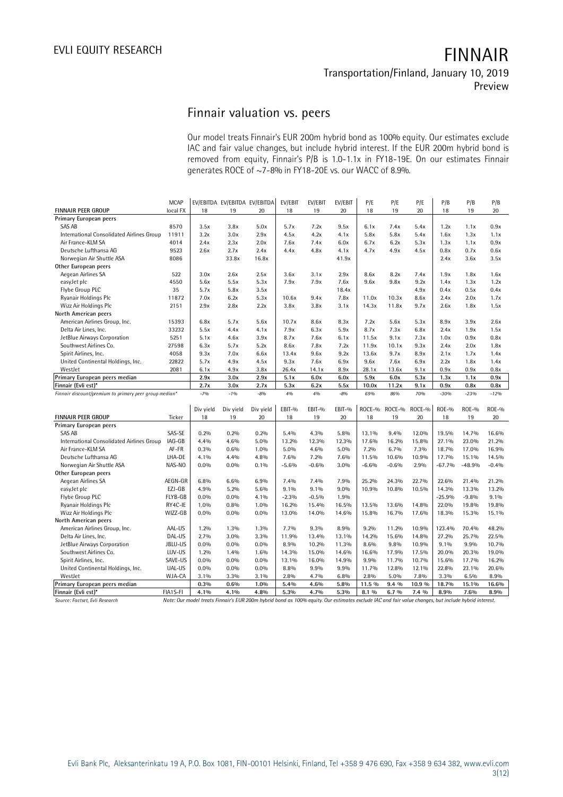### **Transportation/Finland, January 10, 2019 Preview**

## **Finnair valuation vs. peers**

Our model treats Finnair's EUR 200m hybrid bond as 100% equity. Our estimates exclude IAC and fair value changes, but include hybrid interest. If the EUR 200m hybrid bond is removed from equity, Finnair's P/B is 1.0-1.1x in FY18-19E. On our estimates Finnair generates ROCE of ~7-8% in FY18-20E vs. our WACC of 8.9%.

| <b>MCAP</b><br>EV/EBITDA EV/EBITDA EV/EBITDA<br>EV/EBIT<br>EV/EBIT<br>EV/EBIT<br>P/E<br>P/E<br>P/E<br>P/B<br>P/B<br>P/B<br>local FX<br>19<br>20<br>19<br>20<br>FINNAIR PEER GROUP<br>18<br>19<br>20<br>18<br>19<br>20<br>18<br>18<br>Primary European peers<br>SAS AB<br>8570<br>3.8x<br>5.0x<br>5.7x<br>7.2x<br>9.5x<br>5.4x<br>1.2x<br>0.9x<br>3.5x<br>6.1x<br>7.4x<br>1.1x<br>International Consolidated Airlines Group<br>11911<br>3.2x<br>2.9x<br>4.5x<br>4.2x<br>4.1x<br>5.8x<br>5.8x<br>5.4x<br>3.0x<br>1.6x<br>1.3x<br>1.1x<br>Air France-KLM SA<br>4014<br>2.4x<br>2.3x<br>2.0x<br>7.6x<br>7.4x<br>6.7x<br>5.3x<br>1.3x<br>1.1x<br>0.9x<br>6.0x<br>6.2x<br>Deutsche Lufthansa AG<br>9523<br>2.6x<br>2.7x<br>2.4x<br>4.4x<br>4.8x<br>4.1x<br>4.7x<br>4.9x<br>4.5x<br>0.8x<br>0.7x<br>0.6x<br>Norwegian Air Shuttle ASA<br>8086<br>33.8x<br>41.9x<br>2.4x<br>3.6x<br>16.8x<br>3.5x<br>Other European peers<br>Aegean Airlines SA<br>522<br>3.0x<br>2.6x<br>2.5x<br>3.1x<br>2.9x<br>8.6x<br>8.2x<br>7.4x<br>1.9x<br>1.8x<br>3.6x<br>1.6x<br>7.9x<br>7.9x<br>easyJet plc<br>4550<br>5.6x<br>5.5x<br>5.3x<br>7.6x<br>9.6x<br>9.8x<br>9.2x<br>1.4x<br>1.3x<br>1.2x<br>Flybe Group PLC<br>35<br>5.8x<br>18.4x<br>4.9x<br>0.4x<br>0.5x<br>0.4x<br>5.7x<br>3.5x<br>5.3x<br>7.8x<br>2.4x<br>Ryanair Holdings Plc<br>11872<br>7.0x<br>6.2x<br>10.6x<br>9.4x<br>11.0x<br>10.3x<br>8.6x<br>2.0x<br>1.7x<br>Wizz Air Holdings Plc<br>2151<br>2.9x<br>2.8x<br>2.2x<br>3.8x<br>3.8x<br>3.1x<br>14.3x<br>11.8x<br>9.7x<br>2.6x<br>1.8x<br>1.5x<br>North American peers<br>American Airlines Group, Inc.<br>15393<br>6.8x<br>5.7x<br>5.6x<br>10.7x<br>8.6x<br>8.3x<br>7.2x<br>5.6x<br>5.3x<br>8.9x<br>3.9x<br>2.6x<br>33232<br>7.9x<br>Delta Air Lines, Inc.<br>5.5x<br>4.4x<br>4.1x<br>6.3x<br>5.9x<br>8.7x<br>7.3x<br>6.8x<br>2.4x<br>1.9x<br>1.5x<br>JetBlue Airways Corporation<br>5251<br>5.1x<br>3.9x<br>8.7x<br>7.6x<br>6.1x<br>11.5x<br>9.1x<br>7.3x<br>1.0x<br>0.9x<br>0.8x<br>4.6x<br>7.8x<br>Southwest Airlines Co.<br>27598<br>6.3x<br>5.7x<br>5.2x<br>8.6x<br>7.2x<br>11.9x<br>10.1x<br>9.3x<br>2.4x<br>2.0x<br>1.8x<br>Spirit Airlines, Inc.<br>4058<br>9.3x<br>7.0x<br>6.6x<br>13.4x<br>9.6x<br>9.2x<br>13.6x<br>9.7x<br>8.9x<br>2.1x<br>1.7x<br>1.4x<br>United Continental Holdings, Inc.<br>22822<br>5.7x<br>4.9x<br>4.5x<br>9.3x<br>7.6x<br>6.9x<br>9.6x<br>7.6x<br>6.9x<br>2.2x<br>1.8x<br>1.4x<br>WestJet<br>2081<br>4.9x<br>3.8x<br>26.4x<br>14.1x<br>8.9x<br>28.1x<br>13.6x<br>0.9x<br>0.9x<br>0.8x<br>6.1x<br>9.1x<br>Primary European peers median<br>2.9x<br>3.0x<br>2.9x<br>5.1x<br>6.0x<br>6.0x<br>5.9x<br>6.0x<br>5.3x<br>1.3x<br>1.1x<br>0.9x<br>Finnair (Evli est)*<br>0.9x<br>2.7x<br>3.0x<br>2.7x<br>5.3x<br>6.2x<br>5.5x<br>10.0x<br>11.2x<br>9.1x<br>0.8x<br>0.8x<br>$-7%$<br>$-1%$<br>$-8%$<br>4%<br>70%<br>Finnair discount/premium to primary peer group median*<br>4%<br>$-8%$<br>69%<br>86%<br>$-30%$<br>$-23%$<br>$-12%$<br>EBIT-%<br>EBIT-%<br>ROCE-%<br>ROCE-%<br>ROCE-%<br>ROE-%<br>Div yield<br>Div yield<br>Div yield<br>EBIT-%<br><b>ROE-%</b><br><b>ROE-%</b><br><b>FINNAIR PEER GROUP</b><br>Ticker<br>18<br>19<br>20<br>18<br>19<br>20<br>18<br>19<br>20<br>18<br>19<br>20<br>Primary European peers<br>SAS AB<br>SAS-SE<br>0.2%<br>0.2%<br>0.2%<br>5.4%<br>4.3%<br>5.8%<br>13.1%<br>9.4%<br>12.0%<br>19.5%<br>14.7%<br>16.6%<br>International Consolidated Airlines Group<br>IAG-GB<br>4.4%<br>4.6%<br>5.0%<br>13.2%<br>12.3%<br>12.3%<br>17.6%<br>16.2%<br>15.8%<br>27.1%<br>23.0%<br>21.2%<br>AF-FR<br>Air France-KLM SA<br>0.3%<br>0.6%<br>1.0%<br>5.0%<br>4.6%<br>5.0%<br>7.2%<br>6.7%<br>7.3%<br>18.7%<br>17.0%<br>16.9%<br>Deutsche Lufthansa AG<br>LHA-DE<br>4.1%<br>4.4%<br>4.8%<br>7.2%<br>11.5%<br>10.6%<br>10.9%<br>17.7%<br>15.1%<br>7.6%<br>7.6%<br>14.5%<br>Norwegian Air Shuttle ASA<br>NAS-NO<br>$-0.6%$<br>$-67.7%$<br>$-48.9%$<br>0.0%<br>$0.0\%$<br>0.1%<br>$-5.6%$<br>3.0%<br>$-6.6%$<br>$-0.6%$<br>2.9%<br>$-0.4%$<br>Other European peers<br>Aegean Airlines SA<br>AEGN-GR<br>6.6%<br>7.4%<br>7.4%<br>7.9%<br>25.2%<br>22.7%<br>22.6%<br>6.8%<br>6.9%<br>24.3%<br>21.4%<br>21.2%<br>EZJ-GB<br>4.9%<br>5.2%<br>5.6%<br>9.1%<br>9.1%<br>9.0%<br>10.9%<br>10.8%<br>10.5%<br>14.3%<br>13.3%<br>13.2%<br>easyJet plc<br>FLYB-GB<br>Flybe Group PLC<br>$0.0\%$<br>$-0.5%$<br>$-25.9%$<br>$-9.8%$<br>9.1%<br>0.0%<br>4.1%<br>$-2.3%$<br>1.9%<br>Ryanair Holdings Plc<br>RY4C-IE<br>1.0%<br>16.2%<br>15.4%<br>16.5%<br>22.0%<br>1.0%<br>0.8%<br>13.5%<br>13.6%<br>14.8%<br>19.8%<br>19.8%<br>Wizz Air Holdings Plc<br>WIZZ-GB<br>14.0%<br>16.7%<br>0.0%<br>$0.0\%$<br>$0.0\%$<br>13.0%<br>14.6%<br>15.8%<br>17.6%<br>18.3%<br>15.3%<br>15.1%<br>North American peers<br>American Airlines Group, Inc.<br>AAL-US<br>7.7%<br>9.2%<br>11.2%<br>1.2%<br>1.3%<br>1.3%<br>9.3%<br>8.9%<br>10.9%<br>123.4%<br>70.4%<br>48.2%<br>DAL-US<br>27.2%<br>Delta Air Lines, Inc.<br>2.7%<br>3.0%<br>3.3%<br>11.9%<br>13.4%<br>13.1%<br>14.2%<br>15.6%<br>14.8%<br>25.7%<br>22.5%<br>JBLU-US<br>0.0%<br>8.9%<br>8.6%<br>9.8%<br>10.9%<br>$9.1\%$<br>9.9%<br>JetBlue Airways Corporation<br>$0.0\%$<br>$0.0\%$<br>10.2%<br>11.3%<br>10.7%<br>LUV-US<br>15.0%<br>20.0%<br>Southwest Airlines Co.<br>1.2%<br>1.4%<br>1.6%<br>14.3%<br>14.6%<br>16.6%<br>17.9%<br>17.5%<br>20.3%<br>19.0%<br>SAVE-US<br>Spirit Airlines, Inc.<br>$0.0\%$<br>$0.0\%$<br>0.0%<br>16.0%<br>14.9%<br>9.9%<br>11.7%<br>10.7%<br>15.6%<br>17.7%<br>13.1%<br>16.2%<br>UAL-US<br>0.0%<br>$0.0\%$<br>$0.0\%$<br>9.9%<br>9.9%<br>11.7%<br>12.8%<br>12.1%<br>22.8%<br>23.1%<br>United Continental Holdings, Inc.<br>8.8%<br>20.6%<br>WJA-CA<br>4.7%<br>2.8%<br>5.0%<br>7.8%<br>3.3%<br>6.5%<br>WestJet<br>3.1%<br>3.3%<br>3.1%<br>2.8%<br>6.8%<br>8.9% |                               |      |      | generates ROCE of ~7-8% in FY18-20E vs. our WACC of 8.9%. |      |      |      |        |       |        |       |       |       |
|----------------------------------------------------------------------------------------------------------------------------------------------------------------------------------------------------------------------------------------------------------------------------------------------------------------------------------------------------------------------------------------------------------------------------------------------------------------------------------------------------------------------------------------------------------------------------------------------------------------------------------------------------------------------------------------------------------------------------------------------------------------------------------------------------------------------------------------------------------------------------------------------------------------------------------------------------------------------------------------------------------------------------------------------------------------------------------------------------------------------------------------------------------------------------------------------------------------------------------------------------------------------------------------------------------------------------------------------------------------------------------------------------------------------------------------------------------------------------------------------------------------------------------------------------------------------------------------------------------------------------------------------------------------------------------------------------------------------------------------------------------------------------------------------------------------------------------------------------------------------------------------------------------------------------------------------------------------------------------------------------------------------------------------------------------------------------------------------------------------------------------------------------------------------------------------------------------------------------------------------------------------------------------------------------------------------------------------------------------------------------------------------------------------------------------------------------------------------------------------------------------------------------------------------------------------------------------------------------------------------------------------------------------------------------------------------------------------------------------------------------------------------------------------------------------------------------------------------------------------------------------------------------------------------------------------------------------------------------------------------------------------------------------------------------------------------------------------------------------------------------------------------------------------------------------------------------------------------------------------------------------------------------------------------------------------------------------------------------------------------------------------------------------------------------------------------------------------------------------------------------------------------------------------------------------------------------------------------------------------------------------------------------------------------------------------------------------------------------------------------------------------------------------------------------------------------------------------------------------------------------------------------------------------------------------------------------------------------------------------------------------------------------------------------------------------------------------------------------------------------------------------------------------------------------------------------------------------------------------------------------------------------------------------------------------------------------------------------------------------------------------------------------------------------------------------------------------------------------------------------------------------------------------------------------------------------------------------------------------------------------------------------------------------------------------------------------------------------------------------------------------------------------------------------------------------------------------------------------------------------------------------------------------------------------------------------------------------------------------------------------------------------------------------------------------------------------------------------------------------------------------------------------------------------------------------------------------------------------------------------------------------------------------------------------------------------------------------------------------------------------------------------------------------------------------------------------------------------------------------------------------------------------------------------------------------------------------------------------------------------------------------------------------------------------------------------------------------------------------------------------------------|-------------------------------|------|------|-----------------------------------------------------------|------|------|------|--------|-------|--------|-------|-------|-------|
|                                                                                                                                                                                                                                                                                                                                                                                                                                                                                                                                                                                                                                                                                                                                                                                                                                                                                                                                                                                                                                                                                                                                                                                                                                                                                                                                                                                                                                                                                                                                                                                                                                                                                                                                                                                                                                                                                                                                                                                                                                                                                                                                                                                                                                                                                                                                                                                                                                                                                                                                                                                                                                                                                                                                                                                                                                                                                                                                                                                                                                                                                                                                                                                                                                                                                                                                                                                                                                                                                                                                                                                                                                                                                                                                                                                                                                                                                                                                                                                                                                                                                                                                                                                                                                                                                                                                                                                                                                                                                                                                                                                                                                                                                                                                                                                                                                                                                                                                                                                                                                                                                                                                                                                                                                                                                                                                                                                                                                                                                                                                                                                                                                                                                                                                                                |                               |      |      |                                                           |      |      |      |        |       |        |       |       |       |
|                                                                                                                                                                                                                                                                                                                                                                                                                                                                                                                                                                                                                                                                                                                                                                                                                                                                                                                                                                                                                                                                                                                                                                                                                                                                                                                                                                                                                                                                                                                                                                                                                                                                                                                                                                                                                                                                                                                                                                                                                                                                                                                                                                                                                                                                                                                                                                                                                                                                                                                                                                                                                                                                                                                                                                                                                                                                                                                                                                                                                                                                                                                                                                                                                                                                                                                                                                                                                                                                                                                                                                                                                                                                                                                                                                                                                                                                                                                                                                                                                                                                                                                                                                                                                                                                                                                                                                                                                                                                                                                                                                                                                                                                                                                                                                                                                                                                                                                                                                                                                                                                                                                                                                                                                                                                                                                                                                                                                                                                                                                                                                                                                                                                                                                                                                |                               |      |      |                                                           |      |      |      |        |       |        |       |       |       |
|                                                                                                                                                                                                                                                                                                                                                                                                                                                                                                                                                                                                                                                                                                                                                                                                                                                                                                                                                                                                                                                                                                                                                                                                                                                                                                                                                                                                                                                                                                                                                                                                                                                                                                                                                                                                                                                                                                                                                                                                                                                                                                                                                                                                                                                                                                                                                                                                                                                                                                                                                                                                                                                                                                                                                                                                                                                                                                                                                                                                                                                                                                                                                                                                                                                                                                                                                                                                                                                                                                                                                                                                                                                                                                                                                                                                                                                                                                                                                                                                                                                                                                                                                                                                                                                                                                                                                                                                                                                                                                                                                                                                                                                                                                                                                                                                                                                                                                                                                                                                                                                                                                                                                                                                                                                                                                                                                                                                                                                                                                                                                                                                                                                                                                                                                                |                               |      |      |                                                           |      |      |      |        |       |        |       |       |       |
|                                                                                                                                                                                                                                                                                                                                                                                                                                                                                                                                                                                                                                                                                                                                                                                                                                                                                                                                                                                                                                                                                                                                                                                                                                                                                                                                                                                                                                                                                                                                                                                                                                                                                                                                                                                                                                                                                                                                                                                                                                                                                                                                                                                                                                                                                                                                                                                                                                                                                                                                                                                                                                                                                                                                                                                                                                                                                                                                                                                                                                                                                                                                                                                                                                                                                                                                                                                                                                                                                                                                                                                                                                                                                                                                                                                                                                                                                                                                                                                                                                                                                                                                                                                                                                                                                                                                                                                                                                                                                                                                                                                                                                                                                                                                                                                                                                                                                                                                                                                                                                                                                                                                                                                                                                                                                                                                                                                                                                                                                                                                                                                                                                                                                                                                                                |                               |      |      |                                                           |      |      |      |        |       |        |       |       |       |
|                                                                                                                                                                                                                                                                                                                                                                                                                                                                                                                                                                                                                                                                                                                                                                                                                                                                                                                                                                                                                                                                                                                                                                                                                                                                                                                                                                                                                                                                                                                                                                                                                                                                                                                                                                                                                                                                                                                                                                                                                                                                                                                                                                                                                                                                                                                                                                                                                                                                                                                                                                                                                                                                                                                                                                                                                                                                                                                                                                                                                                                                                                                                                                                                                                                                                                                                                                                                                                                                                                                                                                                                                                                                                                                                                                                                                                                                                                                                                                                                                                                                                                                                                                                                                                                                                                                                                                                                                                                                                                                                                                                                                                                                                                                                                                                                                                                                                                                                                                                                                                                                                                                                                                                                                                                                                                                                                                                                                                                                                                                                                                                                                                                                                                                                                                |                               |      |      |                                                           |      |      |      |        |       |        |       |       |       |
|                                                                                                                                                                                                                                                                                                                                                                                                                                                                                                                                                                                                                                                                                                                                                                                                                                                                                                                                                                                                                                                                                                                                                                                                                                                                                                                                                                                                                                                                                                                                                                                                                                                                                                                                                                                                                                                                                                                                                                                                                                                                                                                                                                                                                                                                                                                                                                                                                                                                                                                                                                                                                                                                                                                                                                                                                                                                                                                                                                                                                                                                                                                                                                                                                                                                                                                                                                                                                                                                                                                                                                                                                                                                                                                                                                                                                                                                                                                                                                                                                                                                                                                                                                                                                                                                                                                                                                                                                                                                                                                                                                                                                                                                                                                                                                                                                                                                                                                                                                                                                                                                                                                                                                                                                                                                                                                                                                                                                                                                                                                                                                                                                                                                                                                                                                |                               |      |      |                                                           |      |      |      |        |       |        |       |       |       |
|                                                                                                                                                                                                                                                                                                                                                                                                                                                                                                                                                                                                                                                                                                                                                                                                                                                                                                                                                                                                                                                                                                                                                                                                                                                                                                                                                                                                                                                                                                                                                                                                                                                                                                                                                                                                                                                                                                                                                                                                                                                                                                                                                                                                                                                                                                                                                                                                                                                                                                                                                                                                                                                                                                                                                                                                                                                                                                                                                                                                                                                                                                                                                                                                                                                                                                                                                                                                                                                                                                                                                                                                                                                                                                                                                                                                                                                                                                                                                                                                                                                                                                                                                                                                                                                                                                                                                                                                                                                                                                                                                                                                                                                                                                                                                                                                                                                                                                                                                                                                                                                                                                                                                                                                                                                                                                                                                                                                                                                                                                                                                                                                                                                                                                                                                                |                               |      |      |                                                           |      |      |      |        |       |        |       |       |       |
|                                                                                                                                                                                                                                                                                                                                                                                                                                                                                                                                                                                                                                                                                                                                                                                                                                                                                                                                                                                                                                                                                                                                                                                                                                                                                                                                                                                                                                                                                                                                                                                                                                                                                                                                                                                                                                                                                                                                                                                                                                                                                                                                                                                                                                                                                                                                                                                                                                                                                                                                                                                                                                                                                                                                                                                                                                                                                                                                                                                                                                                                                                                                                                                                                                                                                                                                                                                                                                                                                                                                                                                                                                                                                                                                                                                                                                                                                                                                                                                                                                                                                                                                                                                                                                                                                                                                                                                                                                                                                                                                                                                                                                                                                                                                                                                                                                                                                                                                                                                                                                                                                                                                                                                                                                                                                                                                                                                                                                                                                                                                                                                                                                                                                                                                                                |                               |      |      |                                                           |      |      |      |        |       |        |       |       |       |
|                                                                                                                                                                                                                                                                                                                                                                                                                                                                                                                                                                                                                                                                                                                                                                                                                                                                                                                                                                                                                                                                                                                                                                                                                                                                                                                                                                                                                                                                                                                                                                                                                                                                                                                                                                                                                                                                                                                                                                                                                                                                                                                                                                                                                                                                                                                                                                                                                                                                                                                                                                                                                                                                                                                                                                                                                                                                                                                                                                                                                                                                                                                                                                                                                                                                                                                                                                                                                                                                                                                                                                                                                                                                                                                                                                                                                                                                                                                                                                                                                                                                                                                                                                                                                                                                                                                                                                                                                                                                                                                                                                                                                                                                                                                                                                                                                                                                                                                                                                                                                                                                                                                                                                                                                                                                                                                                                                                                                                                                                                                                                                                                                                                                                                                                                                |                               |      |      |                                                           |      |      |      |        |       |        |       |       |       |
|                                                                                                                                                                                                                                                                                                                                                                                                                                                                                                                                                                                                                                                                                                                                                                                                                                                                                                                                                                                                                                                                                                                                                                                                                                                                                                                                                                                                                                                                                                                                                                                                                                                                                                                                                                                                                                                                                                                                                                                                                                                                                                                                                                                                                                                                                                                                                                                                                                                                                                                                                                                                                                                                                                                                                                                                                                                                                                                                                                                                                                                                                                                                                                                                                                                                                                                                                                                                                                                                                                                                                                                                                                                                                                                                                                                                                                                                                                                                                                                                                                                                                                                                                                                                                                                                                                                                                                                                                                                                                                                                                                                                                                                                                                                                                                                                                                                                                                                                                                                                                                                                                                                                                                                                                                                                                                                                                                                                                                                                                                                                                                                                                                                                                                                                                                |                               |      |      |                                                           |      |      |      |        |       |        |       |       |       |
|                                                                                                                                                                                                                                                                                                                                                                                                                                                                                                                                                                                                                                                                                                                                                                                                                                                                                                                                                                                                                                                                                                                                                                                                                                                                                                                                                                                                                                                                                                                                                                                                                                                                                                                                                                                                                                                                                                                                                                                                                                                                                                                                                                                                                                                                                                                                                                                                                                                                                                                                                                                                                                                                                                                                                                                                                                                                                                                                                                                                                                                                                                                                                                                                                                                                                                                                                                                                                                                                                                                                                                                                                                                                                                                                                                                                                                                                                                                                                                                                                                                                                                                                                                                                                                                                                                                                                                                                                                                                                                                                                                                                                                                                                                                                                                                                                                                                                                                                                                                                                                                                                                                                                                                                                                                                                                                                                                                                                                                                                                                                                                                                                                                                                                                                                                |                               |      |      |                                                           |      |      |      |        |       |        |       |       |       |
|                                                                                                                                                                                                                                                                                                                                                                                                                                                                                                                                                                                                                                                                                                                                                                                                                                                                                                                                                                                                                                                                                                                                                                                                                                                                                                                                                                                                                                                                                                                                                                                                                                                                                                                                                                                                                                                                                                                                                                                                                                                                                                                                                                                                                                                                                                                                                                                                                                                                                                                                                                                                                                                                                                                                                                                                                                                                                                                                                                                                                                                                                                                                                                                                                                                                                                                                                                                                                                                                                                                                                                                                                                                                                                                                                                                                                                                                                                                                                                                                                                                                                                                                                                                                                                                                                                                                                                                                                                                                                                                                                                                                                                                                                                                                                                                                                                                                                                                                                                                                                                                                                                                                                                                                                                                                                                                                                                                                                                                                                                                                                                                                                                                                                                                                                                |                               |      |      |                                                           |      |      |      |        |       |        |       |       |       |
|                                                                                                                                                                                                                                                                                                                                                                                                                                                                                                                                                                                                                                                                                                                                                                                                                                                                                                                                                                                                                                                                                                                                                                                                                                                                                                                                                                                                                                                                                                                                                                                                                                                                                                                                                                                                                                                                                                                                                                                                                                                                                                                                                                                                                                                                                                                                                                                                                                                                                                                                                                                                                                                                                                                                                                                                                                                                                                                                                                                                                                                                                                                                                                                                                                                                                                                                                                                                                                                                                                                                                                                                                                                                                                                                                                                                                                                                                                                                                                                                                                                                                                                                                                                                                                                                                                                                                                                                                                                                                                                                                                                                                                                                                                                                                                                                                                                                                                                                                                                                                                                                                                                                                                                                                                                                                                                                                                                                                                                                                                                                                                                                                                                                                                                                                                |                               |      |      |                                                           |      |      |      |        |       |        |       |       |       |
|                                                                                                                                                                                                                                                                                                                                                                                                                                                                                                                                                                                                                                                                                                                                                                                                                                                                                                                                                                                                                                                                                                                                                                                                                                                                                                                                                                                                                                                                                                                                                                                                                                                                                                                                                                                                                                                                                                                                                                                                                                                                                                                                                                                                                                                                                                                                                                                                                                                                                                                                                                                                                                                                                                                                                                                                                                                                                                                                                                                                                                                                                                                                                                                                                                                                                                                                                                                                                                                                                                                                                                                                                                                                                                                                                                                                                                                                                                                                                                                                                                                                                                                                                                                                                                                                                                                                                                                                                                                                                                                                                                                                                                                                                                                                                                                                                                                                                                                                                                                                                                                                                                                                                                                                                                                                                                                                                                                                                                                                                                                                                                                                                                                                                                                                                                |                               |      |      |                                                           |      |      |      |        |       |        |       |       |       |
|                                                                                                                                                                                                                                                                                                                                                                                                                                                                                                                                                                                                                                                                                                                                                                                                                                                                                                                                                                                                                                                                                                                                                                                                                                                                                                                                                                                                                                                                                                                                                                                                                                                                                                                                                                                                                                                                                                                                                                                                                                                                                                                                                                                                                                                                                                                                                                                                                                                                                                                                                                                                                                                                                                                                                                                                                                                                                                                                                                                                                                                                                                                                                                                                                                                                                                                                                                                                                                                                                                                                                                                                                                                                                                                                                                                                                                                                                                                                                                                                                                                                                                                                                                                                                                                                                                                                                                                                                                                                                                                                                                                                                                                                                                                                                                                                                                                                                                                                                                                                                                                                                                                                                                                                                                                                                                                                                                                                                                                                                                                                                                                                                                                                                                                                                                |                               |      |      |                                                           |      |      |      |        |       |        |       |       |       |
|                                                                                                                                                                                                                                                                                                                                                                                                                                                                                                                                                                                                                                                                                                                                                                                                                                                                                                                                                                                                                                                                                                                                                                                                                                                                                                                                                                                                                                                                                                                                                                                                                                                                                                                                                                                                                                                                                                                                                                                                                                                                                                                                                                                                                                                                                                                                                                                                                                                                                                                                                                                                                                                                                                                                                                                                                                                                                                                                                                                                                                                                                                                                                                                                                                                                                                                                                                                                                                                                                                                                                                                                                                                                                                                                                                                                                                                                                                                                                                                                                                                                                                                                                                                                                                                                                                                                                                                                                                                                                                                                                                                                                                                                                                                                                                                                                                                                                                                                                                                                                                                                                                                                                                                                                                                                                                                                                                                                                                                                                                                                                                                                                                                                                                                                                                |                               |      |      |                                                           |      |      |      |        |       |        |       |       |       |
|                                                                                                                                                                                                                                                                                                                                                                                                                                                                                                                                                                                                                                                                                                                                                                                                                                                                                                                                                                                                                                                                                                                                                                                                                                                                                                                                                                                                                                                                                                                                                                                                                                                                                                                                                                                                                                                                                                                                                                                                                                                                                                                                                                                                                                                                                                                                                                                                                                                                                                                                                                                                                                                                                                                                                                                                                                                                                                                                                                                                                                                                                                                                                                                                                                                                                                                                                                                                                                                                                                                                                                                                                                                                                                                                                                                                                                                                                                                                                                                                                                                                                                                                                                                                                                                                                                                                                                                                                                                                                                                                                                                                                                                                                                                                                                                                                                                                                                                                                                                                                                                                                                                                                                                                                                                                                                                                                                                                                                                                                                                                                                                                                                                                                                                                                                |                               |      |      |                                                           |      |      |      |        |       |        |       |       |       |
|                                                                                                                                                                                                                                                                                                                                                                                                                                                                                                                                                                                                                                                                                                                                                                                                                                                                                                                                                                                                                                                                                                                                                                                                                                                                                                                                                                                                                                                                                                                                                                                                                                                                                                                                                                                                                                                                                                                                                                                                                                                                                                                                                                                                                                                                                                                                                                                                                                                                                                                                                                                                                                                                                                                                                                                                                                                                                                                                                                                                                                                                                                                                                                                                                                                                                                                                                                                                                                                                                                                                                                                                                                                                                                                                                                                                                                                                                                                                                                                                                                                                                                                                                                                                                                                                                                                                                                                                                                                                                                                                                                                                                                                                                                                                                                                                                                                                                                                                                                                                                                                                                                                                                                                                                                                                                                                                                                                                                                                                                                                                                                                                                                                                                                                                                                |                               |      |      |                                                           |      |      |      |        |       |        |       |       |       |
|                                                                                                                                                                                                                                                                                                                                                                                                                                                                                                                                                                                                                                                                                                                                                                                                                                                                                                                                                                                                                                                                                                                                                                                                                                                                                                                                                                                                                                                                                                                                                                                                                                                                                                                                                                                                                                                                                                                                                                                                                                                                                                                                                                                                                                                                                                                                                                                                                                                                                                                                                                                                                                                                                                                                                                                                                                                                                                                                                                                                                                                                                                                                                                                                                                                                                                                                                                                                                                                                                                                                                                                                                                                                                                                                                                                                                                                                                                                                                                                                                                                                                                                                                                                                                                                                                                                                                                                                                                                                                                                                                                                                                                                                                                                                                                                                                                                                                                                                                                                                                                                                                                                                                                                                                                                                                                                                                                                                                                                                                                                                                                                                                                                                                                                                                                |                               |      |      |                                                           |      |      |      |        |       |        |       |       |       |
|                                                                                                                                                                                                                                                                                                                                                                                                                                                                                                                                                                                                                                                                                                                                                                                                                                                                                                                                                                                                                                                                                                                                                                                                                                                                                                                                                                                                                                                                                                                                                                                                                                                                                                                                                                                                                                                                                                                                                                                                                                                                                                                                                                                                                                                                                                                                                                                                                                                                                                                                                                                                                                                                                                                                                                                                                                                                                                                                                                                                                                                                                                                                                                                                                                                                                                                                                                                                                                                                                                                                                                                                                                                                                                                                                                                                                                                                                                                                                                                                                                                                                                                                                                                                                                                                                                                                                                                                                                                                                                                                                                                                                                                                                                                                                                                                                                                                                                                                                                                                                                                                                                                                                                                                                                                                                                                                                                                                                                                                                                                                                                                                                                                                                                                                                                |                               |      |      |                                                           |      |      |      |        |       |        |       |       |       |
|                                                                                                                                                                                                                                                                                                                                                                                                                                                                                                                                                                                                                                                                                                                                                                                                                                                                                                                                                                                                                                                                                                                                                                                                                                                                                                                                                                                                                                                                                                                                                                                                                                                                                                                                                                                                                                                                                                                                                                                                                                                                                                                                                                                                                                                                                                                                                                                                                                                                                                                                                                                                                                                                                                                                                                                                                                                                                                                                                                                                                                                                                                                                                                                                                                                                                                                                                                                                                                                                                                                                                                                                                                                                                                                                                                                                                                                                                                                                                                                                                                                                                                                                                                                                                                                                                                                                                                                                                                                                                                                                                                                                                                                                                                                                                                                                                                                                                                                                                                                                                                                                                                                                                                                                                                                                                                                                                                                                                                                                                                                                                                                                                                                                                                                                                                |                               |      |      |                                                           |      |      |      |        |       |        |       |       |       |
|                                                                                                                                                                                                                                                                                                                                                                                                                                                                                                                                                                                                                                                                                                                                                                                                                                                                                                                                                                                                                                                                                                                                                                                                                                                                                                                                                                                                                                                                                                                                                                                                                                                                                                                                                                                                                                                                                                                                                                                                                                                                                                                                                                                                                                                                                                                                                                                                                                                                                                                                                                                                                                                                                                                                                                                                                                                                                                                                                                                                                                                                                                                                                                                                                                                                                                                                                                                                                                                                                                                                                                                                                                                                                                                                                                                                                                                                                                                                                                                                                                                                                                                                                                                                                                                                                                                                                                                                                                                                                                                                                                                                                                                                                                                                                                                                                                                                                                                                                                                                                                                                                                                                                                                                                                                                                                                                                                                                                                                                                                                                                                                                                                                                                                                                                                |                               |      |      |                                                           |      |      |      |        |       |        |       |       |       |
|                                                                                                                                                                                                                                                                                                                                                                                                                                                                                                                                                                                                                                                                                                                                                                                                                                                                                                                                                                                                                                                                                                                                                                                                                                                                                                                                                                                                                                                                                                                                                                                                                                                                                                                                                                                                                                                                                                                                                                                                                                                                                                                                                                                                                                                                                                                                                                                                                                                                                                                                                                                                                                                                                                                                                                                                                                                                                                                                                                                                                                                                                                                                                                                                                                                                                                                                                                                                                                                                                                                                                                                                                                                                                                                                                                                                                                                                                                                                                                                                                                                                                                                                                                                                                                                                                                                                                                                                                                                                                                                                                                                                                                                                                                                                                                                                                                                                                                                                                                                                                                                                                                                                                                                                                                                                                                                                                                                                                                                                                                                                                                                                                                                                                                                                                                |                               |      |      |                                                           |      |      |      |        |       |        |       |       |       |
|                                                                                                                                                                                                                                                                                                                                                                                                                                                                                                                                                                                                                                                                                                                                                                                                                                                                                                                                                                                                                                                                                                                                                                                                                                                                                                                                                                                                                                                                                                                                                                                                                                                                                                                                                                                                                                                                                                                                                                                                                                                                                                                                                                                                                                                                                                                                                                                                                                                                                                                                                                                                                                                                                                                                                                                                                                                                                                                                                                                                                                                                                                                                                                                                                                                                                                                                                                                                                                                                                                                                                                                                                                                                                                                                                                                                                                                                                                                                                                                                                                                                                                                                                                                                                                                                                                                                                                                                                                                                                                                                                                                                                                                                                                                                                                                                                                                                                                                                                                                                                                                                                                                                                                                                                                                                                                                                                                                                                                                                                                                                                                                                                                                                                                                                                                |                               |      |      |                                                           |      |      |      |        |       |        |       |       |       |
|                                                                                                                                                                                                                                                                                                                                                                                                                                                                                                                                                                                                                                                                                                                                                                                                                                                                                                                                                                                                                                                                                                                                                                                                                                                                                                                                                                                                                                                                                                                                                                                                                                                                                                                                                                                                                                                                                                                                                                                                                                                                                                                                                                                                                                                                                                                                                                                                                                                                                                                                                                                                                                                                                                                                                                                                                                                                                                                                                                                                                                                                                                                                                                                                                                                                                                                                                                                                                                                                                                                                                                                                                                                                                                                                                                                                                                                                                                                                                                                                                                                                                                                                                                                                                                                                                                                                                                                                                                                                                                                                                                                                                                                                                                                                                                                                                                                                                                                                                                                                                                                                                                                                                                                                                                                                                                                                                                                                                                                                                                                                                                                                                                                                                                                                                                |                               |      |      |                                                           |      |      |      |        |       |        |       |       |       |
|                                                                                                                                                                                                                                                                                                                                                                                                                                                                                                                                                                                                                                                                                                                                                                                                                                                                                                                                                                                                                                                                                                                                                                                                                                                                                                                                                                                                                                                                                                                                                                                                                                                                                                                                                                                                                                                                                                                                                                                                                                                                                                                                                                                                                                                                                                                                                                                                                                                                                                                                                                                                                                                                                                                                                                                                                                                                                                                                                                                                                                                                                                                                                                                                                                                                                                                                                                                                                                                                                                                                                                                                                                                                                                                                                                                                                                                                                                                                                                                                                                                                                                                                                                                                                                                                                                                                                                                                                                                                                                                                                                                                                                                                                                                                                                                                                                                                                                                                                                                                                                                                                                                                                                                                                                                                                                                                                                                                                                                                                                                                                                                                                                                                                                                                                                |                               |      |      |                                                           |      |      |      |        |       |        |       |       |       |
|                                                                                                                                                                                                                                                                                                                                                                                                                                                                                                                                                                                                                                                                                                                                                                                                                                                                                                                                                                                                                                                                                                                                                                                                                                                                                                                                                                                                                                                                                                                                                                                                                                                                                                                                                                                                                                                                                                                                                                                                                                                                                                                                                                                                                                                                                                                                                                                                                                                                                                                                                                                                                                                                                                                                                                                                                                                                                                                                                                                                                                                                                                                                                                                                                                                                                                                                                                                                                                                                                                                                                                                                                                                                                                                                                                                                                                                                                                                                                                                                                                                                                                                                                                                                                                                                                                                                                                                                                                                                                                                                                                                                                                                                                                                                                                                                                                                                                                                                                                                                                                                                                                                                                                                                                                                                                                                                                                                                                                                                                                                                                                                                                                                                                                                                                                |                               |      |      |                                                           |      |      |      |        |       |        |       |       |       |
|                                                                                                                                                                                                                                                                                                                                                                                                                                                                                                                                                                                                                                                                                                                                                                                                                                                                                                                                                                                                                                                                                                                                                                                                                                                                                                                                                                                                                                                                                                                                                                                                                                                                                                                                                                                                                                                                                                                                                                                                                                                                                                                                                                                                                                                                                                                                                                                                                                                                                                                                                                                                                                                                                                                                                                                                                                                                                                                                                                                                                                                                                                                                                                                                                                                                                                                                                                                                                                                                                                                                                                                                                                                                                                                                                                                                                                                                                                                                                                                                                                                                                                                                                                                                                                                                                                                                                                                                                                                                                                                                                                                                                                                                                                                                                                                                                                                                                                                                                                                                                                                                                                                                                                                                                                                                                                                                                                                                                                                                                                                                                                                                                                                                                                                                                                |                               |      |      |                                                           |      |      |      |        |       |        |       |       |       |
|                                                                                                                                                                                                                                                                                                                                                                                                                                                                                                                                                                                                                                                                                                                                                                                                                                                                                                                                                                                                                                                                                                                                                                                                                                                                                                                                                                                                                                                                                                                                                                                                                                                                                                                                                                                                                                                                                                                                                                                                                                                                                                                                                                                                                                                                                                                                                                                                                                                                                                                                                                                                                                                                                                                                                                                                                                                                                                                                                                                                                                                                                                                                                                                                                                                                                                                                                                                                                                                                                                                                                                                                                                                                                                                                                                                                                                                                                                                                                                                                                                                                                                                                                                                                                                                                                                                                                                                                                                                                                                                                                                                                                                                                                                                                                                                                                                                                                                                                                                                                                                                                                                                                                                                                                                                                                                                                                                                                                                                                                                                                                                                                                                                                                                                                                                |                               |      |      |                                                           |      |      |      |        |       |        |       |       |       |
|                                                                                                                                                                                                                                                                                                                                                                                                                                                                                                                                                                                                                                                                                                                                                                                                                                                                                                                                                                                                                                                                                                                                                                                                                                                                                                                                                                                                                                                                                                                                                                                                                                                                                                                                                                                                                                                                                                                                                                                                                                                                                                                                                                                                                                                                                                                                                                                                                                                                                                                                                                                                                                                                                                                                                                                                                                                                                                                                                                                                                                                                                                                                                                                                                                                                                                                                                                                                                                                                                                                                                                                                                                                                                                                                                                                                                                                                                                                                                                                                                                                                                                                                                                                                                                                                                                                                                                                                                                                                                                                                                                                                                                                                                                                                                                                                                                                                                                                                                                                                                                                                                                                                                                                                                                                                                                                                                                                                                                                                                                                                                                                                                                                                                                                                                                |                               |      |      |                                                           |      |      |      |        |       |        |       |       |       |
|                                                                                                                                                                                                                                                                                                                                                                                                                                                                                                                                                                                                                                                                                                                                                                                                                                                                                                                                                                                                                                                                                                                                                                                                                                                                                                                                                                                                                                                                                                                                                                                                                                                                                                                                                                                                                                                                                                                                                                                                                                                                                                                                                                                                                                                                                                                                                                                                                                                                                                                                                                                                                                                                                                                                                                                                                                                                                                                                                                                                                                                                                                                                                                                                                                                                                                                                                                                                                                                                                                                                                                                                                                                                                                                                                                                                                                                                                                                                                                                                                                                                                                                                                                                                                                                                                                                                                                                                                                                                                                                                                                                                                                                                                                                                                                                                                                                                                                                                                                                                                                                                                                                                                                                                                                                                                                                                                                                                                                                                                                                                                                                                                                                                                                                                                                |                               |      |      |                                                           |      |      |      |        |       |        |       |       |       |
|                                                                                                                                                                                                                                                                                                                                                                                                                                                                                                                                                                                                                                                                                                                                                                                                                                                                                                                                                                                                                                                                                                                                                                                                                                                                                                                                                                                                                                                                                                                                                                                                                                                                                                                                                                                                                                                                                                                                                                                                                                                                                                                                                                                                                                                                                                                                                                                                                                                                                                                                                                                                                                                                                                                                                                                                                                                                                                                                                                                                                                                                                                                                                                                                                                                                                                                                                                                                                                                                                                                                                                                                                                                                                                                                                                                                                                                                                                                                                                                                                                                                                                                                                                                                                                                                                                                                                                                                                                                                                                                                                                                                                                                                                                                                                                                                                                                                                                                                                                                                                                                                                                                                                                                                                                                                                                                                                                                                                                                                                                                                                                                                                                                                                                                                                                |                               |      |      |                                                           |      |      |      |        |       |        |       |       |       |
|                                                                                                                                                                                                                                                                                                                                                                                                                                                                                                                                                                                                                                                                                                                                                                                                                                                                                                                                                                                                                                                                                                                                                                                                                                                                                                                                                                                                                                                                                                                                                                                                                                                                                                                                                                                                                                                                                                                                                                                                                                                                                                                                                                                                                                                                                                                                                                                                                                                                                                                                                                                                                                                                                                                                                                                                                                                                                                                                                                                                                                                                                                                                                                                                                                                                                                                                                                                                                                                                                                                                                                                                                                                                                                                                                                                                                                                                                                                                                                                                                                                                                                                                                                                                                                                                                                                                                                                                                                                                                                                                                                                                                                                                                                                                                                                                                                                                                                                                                                                                                                                                                                                                                                                                                                                                                                                                                                                                                                                                                                                                                                                                                                                                                                                                                                |                               |      |      |                                                           |      |      |      |        |       |        |       |       |       |
|                                                                                                                                                                                                                                                                                                                                                                                                                                                                                                                                                                                                                                                                                                                                                                                                                                                                                                                                                                                                                                                                                                                                                                                                                                                                                                                                                                                                                                                                                                                                                                                                                                                                                                                                                                                                                                                                                                                                                                                                                                                                                                                                                                                                                                                                                                                                                                                                                                                                                                                                                                                                                                                                                                                                                                                                                                                                                                                                                                                                                                                                                                                                                                                                                                                                                                                                                                                                                                                                                                                                                                                                                                                                                                                                                                                                                                                                                                                                                                                                                                                                                                                                                                                                                                                                                                                                                                                                                                                                                                                                                                                                                                                                                                                                                                                                                                                                                                                                                                                                                                                                                                                                                                                                                                                                                                                                                                                                                                                                                                                                                                                                                                                                                                                                                                |                               |      |      |                                                           |      |      |      |        |       |        |       |       |       |
|                                                                                                                                                                                                                                                                                                                                                                                                                                                                                                                                                                                                                                                                                                                                                                                                                                                                                                                                                                                                                                                                                                                                                                                                                                                                                                                                                                                                                                                                                                                                                                                                                                                                                                                                                                                                                                                                                                                                                                                                                                                                                                                                                                                                                                                                                                                                                                                                                                                                                                                                                                                                                                                                                                                                                                                                                                                                                                                                                                                                                                                                                                                                                                                                                                                                                                                                                                                                                                                                                                                                                                                                                                                                                                                                                                                                                                                                                                                                                                                                                                                                                                                                                                                                                                                                                                                                                                                                                                                                                                                                                                                                                                                                                                                                                                                                                                                                                                                                                                                                                                                                                                                                                                                                                                                                                                                                                                                                                                                                                                                                                                                                                                                                                                                                                                |                               |      |      |                                                           |      |      |      |        |       |        |       |       |       |
|                                                                                                                                                                                                                                                                                                                                                                                                                                                                                                                                                                                                                                                                                                                                                                                                                                                                                                                                                                                                                                                                                                                                                                                                                                                                                                                                                                                                                                                                                                                                                                                                                                                                                                                                                                                                                                                                                                                                                                                                                                                                                                                                                                                                                                                                                                                                                                                                                                                                                                                                                                                                                                                                                                                                                                                                                                                                                                                                                                                                                                                                                                                                                                                                                                                                                                                                                                                                                                                                                                                                                                                                                                                                                                                                                                                                                                                                                                                                                                                                                                                                                                                                                                                                                                                                                                                                                                                                                                                                                                                                                                                                                                                                                                                                                                                                                                                                                                                                                                                                                                                                                                                                                                                                                                                                                                                                                                                                                                                                                                                                                                                                                                                                                                                                                                |                               |      |      |                                                           |      |      |      |        |       |        |       |       |       |
|                                                                                                                                                                                                                                                                                                                                                                                                                                                                                                                                                                                                                                                                                                                                                                                                                                                                                                                                                                                                                                                                                                                                                                                                                                                                                                                                                                                                                                                                                                                                                                                                                                                                                                                                                                                                                                                                                                                                                                                                                                                                                                                                                                                                                                                                                                                                                                                                                                                                                                                                                                                                                                                                                                                                                                                                                                                                                                                                                                                                                                                                                                                                                                                                                                                                                                                                                                                                                                                                                                                                                                                                                                                                                                                                                                                                                                                                                                                                                                                                                                                                                                                                                                                                                                                                                                                                                                                                                                                                                                                                                                                                                                                                                                                                                                                                                                                                                                                                                                                                                                                                                                                                                                                                                                                                                                                                                                                                                                                                                                                                                                                                                                                                                                                                                                |                               |      |      |                                                           |      |      |      |        |       |        |       |       |       |
|                                                                                                                                                                                                                                                                                                                                                                                                                                                                                                                                                                                                                                                                                                                                                                                                                                                                                                                                                                                                                                                                                                                                                                                                                                                                                                                                                                                                                                                                                                                                                                                                                                                                                                                                                                                                                                                                                                                                                                                                                                                                                                                                                                                                                                                                                                                                                                                                                                                                                                                                                                                                                                                                                                                                                                                                                                                                                                                                                                                                                                                                                                                                                                                                                                                                                                                                                                                                                                                                                                                                                                                                                                                                                                                                                                                                                                                                                                                                                                                                                                                                                                                                                                                                                                                                                                                                                                                                                                                                                                                                                                                                                                                                                                                                                                                                                                                                                                                                                                                                                                                                                                                                                                                                                                                                                                                                                                                                                                                                                                                                                                                                                                                                                                                                                                |                               |      |      |                                                           |      |      |      |        |       |        |       |       |       |
|                                                                                                                                                                                                                                                                                                                                                                                                                                                                                                                                                                                                                                                                                                                                                                                                                                                                                                                                                                                                                                                                                                                                                                                                                                                                                                                                                                                                                                                                                                                                                                                                                                                                                                                                                                                                                                                                                                                                                                                                                                                                                                                                                                                                                                                                                                                                                                                                                                                                                                                                                                                                                                                                                                                                                                                                                                                                                                                                                                                                                                                                                                                                                                                                                                                                                                                                                                                                                                                                                                                                                                                                                                                                                                                                                                                                                                                                                                                                                                                                                                                                                                                                                                                                                                                                                                                                                                                                                                                                                                                                                                                                                                                                                                                                                                                                                                                                                                                                                                                                                                                                                                                                                                                                                                                                                                                                                                                                                                                                                                                                                                                                                                                                                                                                                                |                               |      |      |                                                           |      |      |      |        |       |        |       |       |       |
|                                                                                                                                                                                                                                                                                                                                                                                                                                                                                                                                                                                                                                                                                                                                                                                                                                                                                                                                                                                                                                                                                                                                                                                                                                                                                                                                                                                                                                                                                                                                                                                                                                                                                                                                                                                                                                                                                                                                                                                                                                                                                                                                                                                                                                                                                                                                                                                                                                                                                                                                                                                                                                                                                                                                                                                                                                                                                                                                                                                                                                                                                                                                                                                                                                                                                                                                                                                                                                                                                                                                                                                                                                                                                                                                                                                                                                                                                                                                                                                                                                                                                                                                                                                                                                                                                                                                                                                                                                                                                                                                                                                                                                                                                                                                                                                                                                                                                                                                                                                                                                                                                                                                                                                                                                                                                                                                                                                                                                                                                                                                                                                                                                                                                                                                                                |                               |      |      |                                                           |      |      |      |        |       |        |       |       |       |
|                                                                                                                                                                                                                                                                                                                                                                                                                                                                                                                                                                                                                                                                                                                                                                                                                                                                                                                                                                                                                                                                                                                                                                                                                                                                                                                                                                                                                                                                                                                                                                                                                                                                                                                                                                                                                                                                                                                                                                                                                                                                                                                                                                                                                                                                                                                                                                                                                                                                                                                                                                                                                                                                                                                                                                                                                                                                                                                                                                                                                                                                                                                                                                                                                                                                                                                                                                                                                                                                                                                                                                                                                                                                                                                                                                                                                                                                                                                                                                                                                                                                                                                                                                                                                                                                                                                                                                                                                                                                                                                                                                                                                                                                                                                                                                                                                                                                                                                                                                                                                                                                                                                                                                                                                                                                                                                                                                                                                                                                                                                                                                                                                                                                                                                                                                |                               |      |      |                                                           |      |      |      |        |       |        |       |       |       |
|                                                                                                                                                                                                                                                                                                                                                                                                                                                                                                                                                                                                                                                                                                                                                                                                                                                                                                                                                                                                                                                                                                                                                                                                                                                                                                                                                                                                                                                                                                                                                                                                                                                                                                                                                                                                                                                                                                                                                                                                                                                                                                                                                                                                                                                                                                                                                                                                                                                                                                                                                                                                                                                                                                                                                                                                                                                                                                                                                                                                                                                                                                                                                                                                                                                                                                                                                                                                                                                                                                                                                                                                                                                                                                                                                                                                                                                                                                                                                                                                                                                                                                                                                                                                                                                                                                                                                                                                                                                                                                                                                                                                                                                                                                                                                                                                                                                                                                                                                                                                                                                                                                                                                                                                                                                                                                                                                                                                                                                                                                                                                                                                                                                                                                                                                                |                               |      |      |                                                           |      |      |      |        |       |        |       |       |       |
|                                                                                                                                                                                                                                                                                                                                                                                                                                                                                                                                                                                                                                                                                                                                                                                                                                                                                                                                                                                                                                                                                                                                                                                                                                                                                                                                                                                                                                                                                                                                                                                                                                                                                                                                                                                                                                                                                                                                                                                                                                                                                                                                                                                                                                                                                                                                                                                                                                                                                                                                                                                                                                                                                                                                                                                                                                                                                                                                                                                                                                                                                                                                                                                                                                                                                                                                                                                                                                                                                                                                                                                                                                                                                                                                                                                                                                                                                                                                                                                                                                                                                                                                                                                                                                                                                                                                                                                                                                                                                                                                                                                                                                                                                                                                                                                                                                                                                                                                                                                                                                                                                                                                                                                                                                                                                                                                                                                                                                                                                                                                                                                                                                                                                                                                                                |                               |      |      |                                                           |      |      |      |        |       |        |       |       |       |
|                                                                                                                                                                                                                                                                                                                                                                                                                                                                                                                                                                                                                                                                                                                                                                                                                                                                                                                                                                                                                                                                                                                                                                                                                                                                                                                                                                                                                                                                                                                                                                                                                                                                                                                                                                                                                                                                                                                                                                                                                                                                                                                                                                                                                                                                                                                                                                                                                                                                                                                                                                                                                                                                                                                                                                                                                                                                                                                                                                                                                                                                                                                                                                                                                                                                                                                                                                                                                                                                                                                                                                                                                                                                                                                                                                                                                                                                                                                                                                                                                                                                                                                                                                                                                                                                                                                                                                                                                                                                                                                                                                                                                                                                                                                                                                                                                                                                                                                                                                                                                                                                                                                                                                                                                                                                                                                                                                                                                                                                                                                                                                                                                                                                                                                                                                |                               |      |      |                                                           |      |      |      |        |       |        |       |       |       |
|                                                                                                                                                                                                                                                                                                                                                                                                                                                                                                                                                                                                                                                                                                                                                                                                                                                                                                                                                                                                                                                                                                                                                                                                                                                                                                                                                                                                                                                                                                                                                                                                                                                                                                                                                                                                                                                                                                                                                                                                                                                                                                                                                                                                                                                                                                                                                                                                                                                                                                                                                                                                                                                                                                                                                                                                                                                                                                                                                                                                                                                                                                                                                                                                                                                                                                                                                                                                                                                                                                                                                                                                                                                                                                                                                                                                                                                                                                                                                                                                                                                                                                                                                                                                                                                                                                                                                                                                                                                                                                                                                                                                                                                                                                                                                                                                                                                                                                                                                                                                                                                                                                                                                                                                                                                                                                                                                                                                                                                                                                                                                                                                                                                                                                                                                                |                               |      |      |                                                           |      |      |      |        |       |        |       |       |       |
|                                                                                                                                                                                                                                                                                                                                                                                                                                                                                                                                                                                                                                                                                                                                                                                                                                                                                                                                                                                                                                                                                                                                                                                                                                                                                                                                                                                                                                                                                                                                                                                                                                                                                                                                                                                                                                                                                                                                                                                                                                                                                                                                                                                                                                                                                                                                                                                                                                                                                                                                                                                                                                                                                                                                                                                                                                                                                                                                                                                                                                                                                                                                                                                                                                                                                                                                                                                                                                                                                                                                                                                                                                                                                                                                                                                                                                                                                                                                                                                                                                                                                                                                                                                                                                                                                                                                                                                                                                                                                                                                                                                                                                                                                                                                                                                                                                                                                                                                                                                                                                                                                                                                                                                                                                                                                                                                                                                                                                                                                                                                                                                                                                                                                                                                                                |                               |      |      |                                                           |      |      |      |        |       |        |       |       |       |
|                                                                                                                                                                                                                                                                                                                                                                                                                                                                                                                                                                                                                                                                                                                                                                                                                                                                                                                                                                                                                                                                                                                                                                                                                                                                                                                                                                                                                                                                                                                                                                                                                                                                                                                                                                                                                                                                                                                                                                                                                                                                                                                                                                                                                                                                                                                                                                                                                                                                                                                                                                                                                                                                                                                                                                                                                                                                                                                                                                                                                                                                                                                                                                                                                                                                                                                                                                                                                                                                                                                                                                                                                                                                                                                                                                                                                                                                                                                                                                                                                                                                                                                                                                                                                                                                                                                                                                                                                                                                                                                                                                                                                                                                                                                                                                                                                                                                                                                                                                                                                                                                                                                                                                                                                                                                                                                                                                                                                                                                                                                                                                                                                                                                                                                                                                |                               |      |      |                                                           |      |      |      |        |       |        |       |       |       |
|                                                                                                                                                                                                                                                                                                                                                                                                                                                                                                                                                                                                                                                                                                                                                                                                                                                                                                                                                                                                                                                                                                                                                                                                                                                                                                                                                                                                                                                                                                                                                                                                                                                                                                                                                                                                                                                                                                                                                                                                                                                                                                                                                                                                                                                                                                                                                                                                                                                                                                                                                                                                                                                                                                                                                                                                                                                                                                                                                                                                                                                                                                                                                                                                                                                                                                                                                                                                                                                                                                                                                                                                                                                                                                                                                                                                                                                                                                                                                                                                                                                                                                                                                                                                                                                                                                                                                                                                                                                                                                                                                                                                                                                                                                                                                                                                                                                                                                                                                                                                                                                                                                                                                                                                                                                                                                                                                                                                                                                                                                                                                                                                                                                                                                                                                                |                               |      |      |                                                           |      |      |      |        |       |        |       |       |       |
|                                                                                                                                                                                                                                                                                                                                                                                                                                                                                                                                                                                                                                                                                                                                                                                                                                                                                                                                                                                                                                                                                                                                                                                                                                                                                                                                                                                                                                                                                                                                                                                                                                                                                                                                                                                                                                                                                                                                                                                                                                                                                                                                                                                                                                                                                                                                                                                                                                                                                                                                                                                                                                                                                                                                                                                                                                                                                                                                                                                                                                                                                                                                                                                                                                                                                                                                                                                                                                                                                                                                                                                                                                                                                                                                                                                                                                                                                                                                                                                                                                                                                                                                                                                                                                                                                                                                                                                                                                                                                                                                                                                                                                                                                                                                                                                                                                                                                                                                                                                                                                                                                                                                                                                                                                                                                                                                                                                                                                                                                                                                                                                                                                                                                                                                                                |                               |      |      |                                                           |      |      |      |        |       |        |       |       |       |
|                                                                                                                                                                                                                                                                                                                                                                                                                                                                                                                                                                                                                                                                                                                                                                                                                                                                                                                                                                                                                                                                                                                                                                                                                                                                                                                                                                                                                                                                                                                                                                                                                                                                                                                                                                                                                                                                                                                                                                                                                                                                                                                                                                                                                                                                                                                                                                                                                                                                                                                                                                                                                                                                                                                                                                                                                                                                                                                                                                                                                                                                                                                                                                                                                                                                                                                                                                                                                                                                                                                                                                                                                                                                                                                                                                                                                                                                                                                                                                                                                                                                                                                                                                                                                                                                                                                                                                                                                                                                                                                                                                                                                                                                                                                                                                                                                                                                                                                                                                                                                                                                                                                                                                                                                                                                                                                                                                                                                                                                                                                                                                                                                                                                                                                                                                |                               |      |      |                                                           |      |      |      |        |       |        |       |       |       |
| FIA1S-FI<br>4.1%<br>4.7%<br>$6.7\%$<br>7.4 %<br>Finnair (Evli est)*<br>4.1%<br>4.8%<br>5.3%<br>5.3%<br>8.1 %<br>8.9%<br>7.6%<br>8.9%                                                                                                                                                                                                                                                                                                                                                                                                                                                                                                                                                                                                                                                                                                                                                                                                                                                                                                                                                                                                                                                                                                                                                                                                                                                                                                                                                                                                                                                                                                                                                                                                                                                                                                                                                                                                                                                                                                                                                                                                                                                                                                                                                                                                                                                                                                                                                                                                                                                                                                                                                                                                                                                                                                                                                                                                                                                                                                                                                                                                                                                                                                                                                                                                                                                                                                                                                                                                                                                                                                                                                                                                                                                                                                                                                                                                                                                                                                                                                                                                                                                                                                                                                                                                                                                                                                                                                                                                                                                                                                                                                                                                                                                                                                                                                                                                                                                                                                                                                                                                                                                                                                                                                                                                                                                                                                                                                                                                                                                                                                                                                                                                                           | Primary European peers median | 0.3% | 0.6% | 1.0%                                                      | 5.4% | 4.6% | 5.8% | 11.5 % | 9.4 % | 10.9 % | 18.7% | 15.1% | 16.6% |

*Source: Factset, Evli Research Note: Our model treats Finnair's EUR 200m hybrid bond as 100% equity. Our estimates exclude IAC and fair value changes, but include hybrid interest.*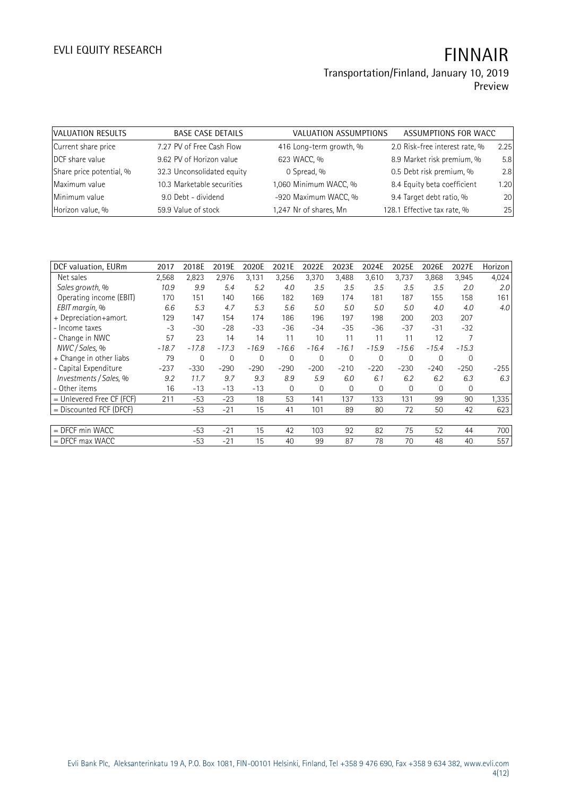### **Transportation/Finland, January 10, 2019 Preview**

| VALUATION RESULTS        | <b>BASE CASE DETAILS</b>   | VALUATION ASSUMPTIONS   | ASSUMPTIONS FOR WACC           |      |
|--------------------------|----------------------------|-------------------------|--------------------------------|------|
| Current share price      | 7.27 PV of Free Cash Flow  | 416 Long-term growth, % | 2.0 Risk-free interest rate, % | 2.25 |
| DCF share value          | 9.62 PV of Horizon value   | 623 WACC, %             | 8.9 Market risk premium, %     | 5.8  |
| Share price potential, % | 32.3 Unconsolidated equity | 0 Spread, %             | 0.5 Debt risk premium, %       | 2.8  |
| Maximum value            | 10.3 Marketable securities | 1,060 Minimum WACC, %   | 8.4 Equity beta coefficient    | 1.20 |
| Minimum value            | 9.0 Debt - dividend        | -920 Maximum WACC, %    | 9.4 Target debt ratio, %       | 20   |
| Horizon value, %         | 59.9 Value of stock        | 1,247 Nr of shares, Mn  | 128.1 Effective tax rate, %    | 25   |

| DCF valuation, EURm       | 2017    | 2018E   | 2019E       | 2020E   | 2021E          | 2022E    | 2023E       | 2024E    | 2025E          | 2026E    | 2027E   | Horizon |
|---------------------------|---------|---------|-------------|---------|----------------|----------|-------------|----------|----------------|----------|---------|---------|
| Net sales                 | 2,568   | 2,823   | 2,976       | 3,131   | 3,256          | 3,370    | 3,488       | 3,610    | 3,737          | 3,868    | 3,945   | 4,024   |
| Sales growth, %           | 10.9    | 9.9     | 5.4         | 5.2     | 4.0            | 3.5      | 3.5         | 3.5      | 3.5            | 3.5      | 2.0     | 2.0     |
| Operating income (EBIT)   | 170     | 151     | 140         | 166     | 182            | 169      | 174         | 181      | 187            | 155      | 158     | 161     |
| EBIT margin, %            | 6.6     | 5.3     | 4.7         | 5.3     | 5.6            | 5.0      | 5.0         | 5.0      | 5.0            | 4.0      | 4.0     | 4.0     |
| + Depreciation+amort.     | 129     | 147     | 154         | 174     | 186            | 196      | 197         | 198      | 200            | 203      | 207     |         |
| - Income taxes            | -3      | $-30$   | $-28$       | $-33$   | $-36$          | $-34$    | $-35$       | $-36$    | $-37$          | $-31$    | $-32$   |         |
| - Change in NWC           | 57      | 23      | 14          | 14      | 11             | 10       | 11          | 11       | 11             | 12       |         |         |
| NWC / Sales. %            | $-18.7$ | $-17.8$ | $-17.3$     | $-16.9$ | $-16.6$        | $-16.4$  | $-16.1$     | $-15.9$  | $-15.6$        | $-15.4$  | $-15.3$ |         |
| + Change in other liabs   | 79      | 0       | $\mathbf 0$ | 0       | $\overline{0}$ | $\Omega$ | $\mathbf 0$ | 0        | $\overline{0}$ | $\Omega$ | 0       |         |
| - Capital Expenditure     | $-237$  | $-330$  | $-290$      | $-290$  | $-290$         | $-200$   | $-210$      | $-220$   | $-230$         | $-240$   | $-250$  | $-255$  |
| Investments / Sales, %    | 9.2     | 11.7    | 9.7         | 9.3     | 8.9            | 5.9      | 6.0         | 6.1      | 6.2            | 6.2      | 6.3     | 6.3     |
| - Other items             | 16      | $-13$   | $-13$       | $-13$   | $\Omega$       | $\Omega$ | 0           | $\Omega$ | $\Omega$       | $\Omega$ | 0       |         |
| = Unlevered Free CF (FCF) | 211     | $-53$   | $-23$       | 18      | 53             | 141      | 137         | 133      | 131            | 99       | 90      | 1,335   |
| = Discounted FCF (DFCF)   |         | $-53$   | $-21$       | 15      | 41             | 101      | 89          | 80       | 72             | 50       | 42      | 623     |
|                           |         |         |             |         |                |          |             |          |                |          |         |         |
| $=$ DFCF min WACC         |         | $-53$   | $-21$       | 15      | 42             | 103      | 92          | 82       | 75             | 52       | 44      | 700     |
| $=$ DFCF max WACC         |         | $-53$   | $-21$       | 15      | 40             | 99       | 87          | 78       | 70             | 48       | 40      | 557     |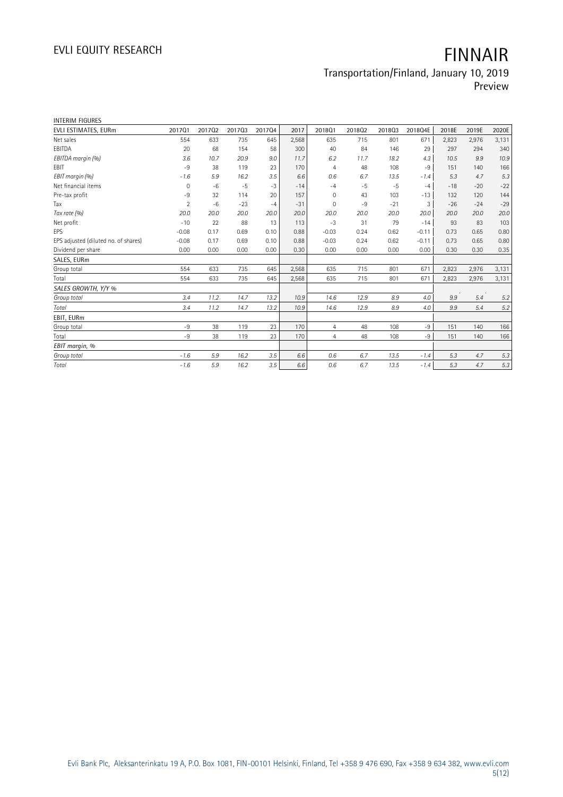# **Transportation/Finland, January 10, 2019**

**Preview**

| <b>INTERIM FIGURES</b>               |                |        |        |        |       |                |        |        |         |       |       |       |
|--------------------------------------|----------------|--------|--------|--------|-------|----------------|--------|--------|---------|-------|-------|-------|
| EVLI ESTIMATES, EURm                 | 201701         | 201702 | 201703 | 201704 | 2017  | 2018Q1         | 201802 | 201803 | 2018Q4E | 2018E | 2019E | 2020E |
| Net sales                            | 554            | 633    | 735    | 645    | 2,568 | 635            | 715    | 801    | 671     | 2,823 | 2,976 | 3,131 |
| EBITDA                               | 20             | 68     | 154    | 58     | 300   | 40             | 84     | 146    | 29      | 297   | 294   | 340   |
| EBITDA margin (%)                    | 3.6            | 10.7   | 20.9   | 9.0    | 11.7  | 6.2            | 11.7   | 18.2   | 4.3     | 10.5  | 9.9   | 10.9  |
| EBIT                                 | $-9$           | 38     | 119    | 23     | 170   | $\overline{4}$ | 48     | 108    | $-9$    | 151   | 140   | 166   |
| EBIT margin (%)                      | $-1.6$         | 5.9    | 16.2   | 3.5    | 6.6   | 0.6            | 6.7    | 13.5   | $-1.4$  | 5.3   | 4.7   | 5.3   |
| Net financial items                  | 0              | $-6$   | $-5$   | $-3$   | $-14$ | $-4$           | $-5$   | $-5$   | $-4$    | $-18$ | $-20$ | $-22$ |
| Pre-tax profit                       | $-9$           | 32     | 114    | 20     | 157   | $\mathbf 0$    | 43     | 103    | $-13$   | 132   | 120   | 144   |
| Tax                                  | $\overline{2}$ | $-6$   | $-23$  | $-4$   | $-31$ | $\Omega$       | $-9$   | $-21$  | 3       | $-26$ | $-24$ | $-29$ |
| Tax rate (%)                         | 20.0           | 20.0   | 20.0   | 20.0   | 20.0  | 20.0           | 20.0   | 20.0   | 20.0    | 20.0  | 20.0  | 20.0  |
| Net profit                           | $-10$          | 22     | 88     | 13     | 113   | $-3$           | 31     | 79     | $-14$   | 93    | 83    | 103   |
| EPS                                  | $-0.08$        | 0.17   | 0.69   | 0.10   | 0.88  | $-0.03$        | 0.24   | 0.62   | $-0.11$ | 0.73  | 0.65  | 0.80  |
| EPS adjusted (diluted no. of shares) | $-0.08$        | 0.17   | 0.69   | 0.10   | 0.88  | $-0.03$        | 0.24   | 0.62   | $-0.11$ | 0.73  | 0.65  | 0.80  |
| Dividend per share                   | 0.00           | 0.00   | 0.00   | 0.00   | 0.30  | 0.00           | 0.00   | 0.00   | 0.00    | 0.30  | 0.30  | 0.35  |
| SALES, EURm                          |                |        |        |        |       |                |        |        |         |       |       |       |
| Group total                          | 554            | 633    | 735    | 645    | 2,568 | 635            | 715    | 801    | 671     | 2,823 | 2,976 | 3,131 |
| Total                                | 554            | 633    | 735    | 645    | 2,568 | 635            | 715    | 801    | 671     | 2,823 | 2,976 | 3,131 |
| SALES GROWTH, Y/Y %                  |                |        |        |        |       |                |        |        |         |       |       |       |
| Group total                          | 3.4            | 11.2   | 14.7   | 13.2   | 10.9  | 14.6           | 12.9   | 8.9    | 4.0     | 9.9   | 5.4   | 5.2   |
| Total                                | 3.4            | 11.2   | 14.7   | 13.2   | 10.9  | 14.6           | 12.9   | 8.9    | 4.0     | 9.9   | 5.4   | 5.2   |
| EBIT, EURm                           |                |        |        |        |       |                |        |        |         |       |       |       |
| Group total                          | $-9$           | 38     | 119    | 23     | 170   | $\overline{4}$ | 48     | 108    | $-9$    | 151   | 140   | 166   |
| Total                                | $-9$           | 38     | 119    | 23     | 170   | 4              | 48     | 108    | $-9$    | 151   | 140   | 166   |
| EBIT margin, %                       |                |        |        |        |       |                |        |        |         |       |       |       |
| Group total                          | $-1.6$         | 5.9    | 16.2   | 3.5    | 6.6   | 0.6            | 6.7    | 13.5   | $-1.4$  | 5.3   | 4.7   | 5.3   |
| Total                                | $-1.6$         | 5.9    | 16.2   | 3.5    | 6.6   | 0.6            | 6.7    | 13.5   | $-1.4$  | 5.3   | 4.7   | 5.3   |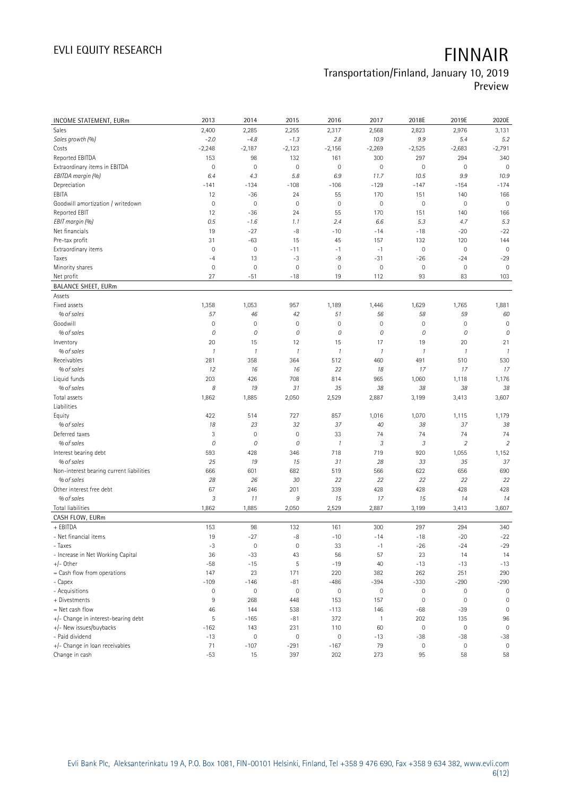# **Transportation/Finland, January 10, 2019**

**Preview**

| INCOME STATEMENT, EURm                                 | 2013                | 2014          | 2015          | 2016                | 2017                  | 2018E               | 2019E          | 2020E          |
|--------------------------------------------------------|---------------------|---------------|---------------|---------------------|-----------------------|---------------------|----------------|----------------|
| Sales                                                  | 2,400               | 2,285         | 2,255         | 2,317               | 2,568                 | 2,823               | 2,976          | 3,131          |
| Sales growth (%)                                       | $-2.0$              | $-4.8$        | $-1.3$        | 2.8                 | 10.9                  | 9.9                 | 5.4            | 5.2            |
| Costs                                                  | $-2,248$            | $-2,187$      | $-2,123$      | $-2,156$            | $-2,269$              | $-2,525$            | $-2,683$       | $-2,791$       |
| Reported EBITDA                                        | 153                 | 98            | 132           | 161                 | 300                   | 297                 | 294            | 340            |
| Extraordinary items in EBITDA                          | $\circ$             | $\mathbf 0$   | $\mathbf 0$   | $\mathbf 0$         | $\mathbf 0$           | 0                   | $\mathbf 0$    | $\mathbf 0$    |
| EBITDA margin (%)                                      | 6.4                 | 4.3           | 5.8           | 6.9                 | 11.7                  | 10.5                | 9.9            | 10.9           |
| Depreciation                                           | $-141$              | $-134$        | $-108$        | $-106$              | $-129$                | $-147$              | $-154$         | $-174$         |
| EBITA                                                  | 12                  | $-36$         | 24            | 55                  | 170                   | 151                 | 140            | 166            |
| Goodwill amortization / writedown                      | $\circ$             | $\mathbf 0$   | $\mathbf 0$   | $\mathbf 0$         | $\mathbf 0$           | $\mathbb O$         | $\mathbf 0$    | $\mathbf 0$    |
| Reported EBIT                                          | 12                  | $-36$         | 24            | 55                  | 170                   | 151                 | 140            | 166            |
| EBIT margin (%)                                        | 0.5                 | $-1.6$        | 1.1           | 2.4                 | 6.6                   | 5.3                 | 4.7            | 5.3            |
| Net financials                                         | 19                  | $-27$         | -8            | $-10$               | $-14$                 | $-18$               | $-20$          | $-22$          |
| Pre-tax profit                                         | 31                  | $-63$         | 15            | 45                  | 157                   | 132                 | 120            | 144            |
| Extraordinary items                                    | $\mathbb O$         | $\mathbf 0$   | $-11$         | $-1$                | $-1$                  | $\mathbb O$         | $\mathbf 0$    | $\mathbf 0$    |
| Taxes                                                  | $-4$                | 13            | $-3$          | $-9$                | $-31$                 | $-26$               | $-24$          | $-29$          |
| Minority shares                                        | $\mathsf{O}\xspace$ | $\mathbf 0$   | $\mathbf 0$   | $\mathbf 0$         | $\mathbf 0$           | $\mathbb O$         | $\mathbf 0$    | $\mathbf 0$    |
| Net profit                                             | 27                  | $-51$         | $-18$         | 19                  | 112                   | 93                  | 83             | 103            |
| <b>BALANCE SHEET, EURm</b>                             |                     |               |               |                     |                       |                     |                |                |
| Assets                                                 |                     |               |               |                     |                       |                     |                |                |
| Fixed assets                                           | 1,358               | 1,053         | 957           | 1,189               | 1,446                 | 1,629               | 1,765          | 1,881          |
| % of sales                                             | 57                  | 46            | 42            | 51                  | 56                    | 58                  | 59             | 60             |
| Goodwill                                               | $\mathsf{O}\xspace$ | $\mathbf 0$   | $\mathbf 0$   | $\mathbf 0$         | $\mathbf 0$           | $\mathsf{O}\xspace$ | $\mathbf 0$    | $\mathbf 0$    |
| % of sales                                             | 0                   | 0             | 0             | 0                   | 0                     | 0                   | 0              | 0              |
| Inventory                                              | 20                  | 15            | 12            | 15                  | 17                    | 19                  | 20             | 21             |
| % of sales                                             | $\mathcal{I}$       | $\mathcal{I}$ | $\mathcal{I}$ | $\mathcal{I}$       | $\mathcal{I}$         | $\mathcal{I}$       | $\mathcal{I}$  | $\mathcal{I}$  |
| Receivables                                            | 281                 | 358           | 364           | 512                 | 460                   | 491                 | 510            | 530            |
| % of sales                                             | 12                  | 16            | 16            | 22                  | 18                    | 17                  | 17             | 17             |
| Liquid funds                                           | 203                 | 426           | 708           | 814                 | 965                   | 1,060               | 1,118          | 1,176          |
| % of sales                                             | 8                   | 19            | 31            | 35                  | 38                    | 38                  | 38             | 38             |
| Total assets                                           | 1,862               | 1,885         | 2,050         | 2,529               | 2,887                 | 3,199               | 3,413          | 3,607          |
| Liabilities                                            |                     |               |               |                     |                       |                     |                |                |
| Equity                                                 | 422                 | 514           | 727           | 857                 | 1,016                 | 1,070               | 1,115          | 1,179          |
| % of sales                                             | 18                  | 23            | 32            | 37                  | 40                    | 38                  | 37             | 38             |
| Deferred taxes                                         | 3                   | $\mathbf 0$   | $\mathbf 0$   | 33                  | 74                    | 74                  | 74             | 74             |
| % of sales                                             | 0                   | 0             | 0             | $\mathcal{I}$       | 3                     | $\sqrt{3}$          | $\overline{2}$ | $\overline{2}$ |
| Interest bearing debt                                  | 593                 | 428           | 346           | 718                 | 719                   | 920                 | 1,055          | 1,152          |
| % of sales                                             | 25                  | 19            | 15            | 31                  | 28                    | 33                  | 35             | 37             |
| Non-interest bearing current liabilities               | 666                 | 601           | 682           | 519                 | 566                   | 622                 | 656            | 690            |
| % of sales                                             | 28                  | 26            | 30            | 22                  | 22                    | 22                  | 22             | 22             |
| Other interest free debt                               | 67                  | 246           | 201           | 339                 | 428                   | 428                 | 428            | 428            |
| % of sales                                             | 3                   | 11            | 9             | 15                  | 17                    | 15                  | 14             | 14             |
| <b>Total liabilities</b>                               | 1,862               | 1,885         | 2,050         | 2,529               | 2,887                 | 3,199               | 3,413          | 3,607          |
| CASH FLOW, EURm                                        |                     |               |               |                     |                       |                     |                |                |
| + EBITDA                                               | 153                 | 98            | 132           | 161                 | 300                   | 297                 | 294            | 340            |
| - Net financial items                                  | 19                  | $-27$         | -8            | $-10$               | $-14$                 | -18                 | $-20$          | $-22$          |
| - Taxes                                                | $-3$                | $\mathbf 0$   | $\mathbb O$   | 33                  | $-1$                  | $-26$               | $-24$          | $-29$          |
| - Increase in Net Working Capital                      | 36                  | $-33$         | 43            | 56                  | 57                    | 23                  | 14             | 14             |
| $+/-$ Other                                            | $-58$               | $-15$         | 5             | $-19$               | 40                    | $-13$               | $-13$          | $-13$          |
| = Cash flow from operations                            | 147                 | 23            | 171           | 220                 | 382                   | 262                 | 251            | 290            |
| - Capex                                                | $-109$              | $-146$        | $-81$         | $-486$              | $-394$                | $-330$              | $-290$         | $-290$         |
| - Acquisitions<br>+ Divestments                        | 0                   | $\mathbf 0$   | $\mathbb O$   | $\mathsf{O}\xspace$ | $\mathbf 0$           | 0                   | $\mathbb O$    | 0              |
|                                                        | 9                   | 268           | 448           | 153                 | 157                   | 0                   | $\mathbb O$    | $\mathbf 0$    |
| = Net cash flow<br>+/- Change in interest-bearing debt | 46<br>5             | 144<br>$-165$ | 538<br>$-81$  | $-113$<br>372       | 146<br>$\overline{1}$ | $-68$<br>202        | $-39$<br>135   | 0<br>96        |
| +/- New issues/buybacks                                | $-162$              | 143           | 231           | 110                 | 60                    | $\mathsf{O}\xspace$ | $\mathbb O$    | $\mathbf 0$    |
| - Paid dividend                                        | $-13$               | $\mathbf 0$   | $\mathbb O$   | $\mathbb O$         | $-13$                 | $-38$               | $-38$          | $-38$          |
| +/- Change in loan receivables                         | 71                  | $-107$        | $-291$        | $-167$              | 79                    | $\mathsf{O}\xspace$ | $\mathbb O$    | $\mathbf 0$    |
| Change in cash                                         | $-53$               | 15            | 397           | 202                 | 273                   | 95                  | 58             | 58             |
|                                                        |                     |               |               |                     |                       |                     |                |                |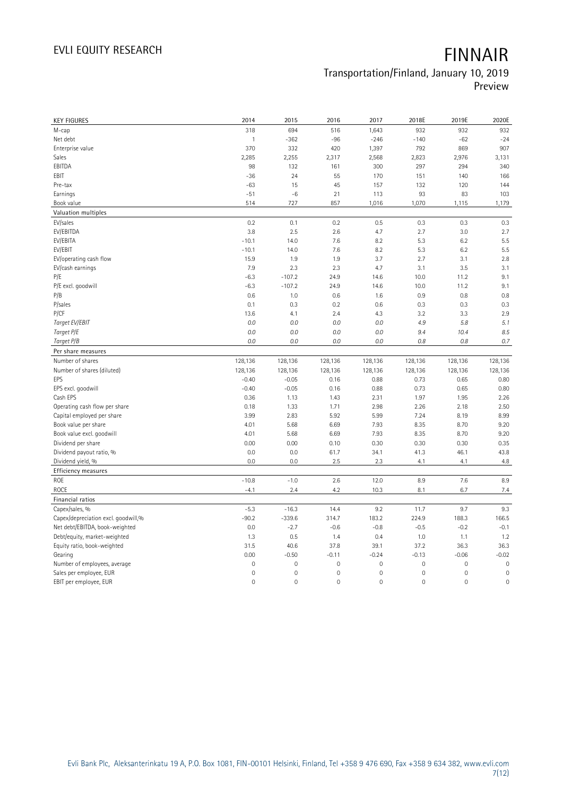## **Transportation/Finland, January 10, 2019**

**Preview**

| <b>KEY FIGURES</b>                  | 2014                | 2015                | 2016           | 2017           | 2018E       | 2019E          | 2020E       |
|-------------------------------------|---------------------|---------------------|----------------|----------------|-------------|----------------|-------------|
| M-cap                               | 318                 | 694                 | 516            | 1,643          | 932         | 932            | 932         |
| Net debt                            | $\mathbf{1}$        | $-362$              | $-96$          | $-246$         | $-140$      | $-62$          | $-24$       |
| Enterprise value                    | 370                 | 332                 | 420            | 1,397          | 792         | 869            | 907         |
| Sales                               | 2,285               | 2,255               | 2,317          | 2,568          | 2,823       | 2,976          | 3,131       |
| EBITDA                              | 98                  | 132                 | 161            | 300            | 297         | 294            | 340         |
| EBIT                                | $-36$               | 24                  | 55             | 170            | 151         | 140            | 166         |
| Pre-tax                             | $-63$               | 15                  | 45             | 157            | 132         | 120            | 144         |
| Earnings                            | $-51$               | $-6$                | 21             | 113            | 93          | 83             | 103         |
| Book value                          | 514                 | 727                 | 857            | 1,016          | 1,070       | 1,115          | 1,179       |
| Valuation multiples                 |                     |                     |                |                |             |                |             |
| EV/sales                            | 0.2                 | 0.1                 | 0.2            | 0.5            | 0.3         | 0.3            | 0.3         |
| EV/EBITDA                           | 3.8                 | 2.5                 | 2.6            | 4.7            | 2.7         | 3.0            | 2.7         |
| EV/EBITA                            | $-10.1$             | 14.0                | 7.6            | 8.2            | 5.3         | 6.2            | 5.5         |
| EV/EBIT                             | $-10.1$             | 14.0                | 7.6            | 8.2            | 5.3         | 6.2            | 5.5         |
| EV/operating cash flow              | 15.9                | 1.9                 | 1.9            | 3.7            | 2.7         | 3.1            | 2.8         |
| EV/cash earnings                    | 7.9                 | 2.3                 | 2.3            | 4.7            | 3.1         | 3.5            | 3.1         |
| P/E                                 | $-6.3$              | $-107.2$            | 24.9           | 14.6           | 10.0        | 11.2           | 9.1         |
| P/E excl. goodwill                  | $-6.3$              | $-107.2$            | 24.9           | 14.6           | 10.0        | 11.2           | 9.1         |
| P/B                                 | 0.6                 | 1.0                 | 0.6            | 1.6            | 0.9         | 0.8            | 0.8         |
| P/sales                             | 0.1                 | 0.3                 | 0.2            | 0.6            | 0.3         | 0.3            | 0.3         |
| P/CF                                | 13.6                | 4.1                 | 2.4            | 4.3            | 3.2         | 3.3            | 2.9         |
| Target EV/EBIT                      | 0.0                 | 0.0                 | 0.0            | 0.0            | 4.9         | 5.8            | 5.1         |
| Target P/E                          | 0.0                 | 0.0                 | 0.0            | 0.0            | 9.4         | 10.4           | 8.5         |
| Target P/B                          | 0.0                 | 0.0                 | 0.0            | 0.0            | $0.8\,$     | 0.8            | 0.7         |
| Per share measures                  |                     |                     |                |                |             |                |             |
|                                     |                     |                     |                |                |             |                |             |
|                                     |                     |                     |                |                |             |                |             |
| Number of shares                    | 128,136             | 128,136             | 128,136        | 128,136        | 128,136     | 128,136        | 128,136     |
| Number of shares (diluted)          | 128,136             | 128,136             | 128,136        | 128,136        | 128,136     | 128,136        | 128,136     |
| EPS                                 | $-0.40$             | $-0.05$             | 0.16           | 0.88           | 0.73        | 0.65           | 0.80        |
| EPS excl. goodwill                  | $-0.40$             | $-0.05$             | 0.16           | 0.88           | 0.73        | 0.65           | 0.80        |
| Cash EPS                            | 0.36                | 1.13                | 1.43           | 2.31           | 1.97        | 1.95           | 2.26        |
| Operating cash flow per share       | 0.18                | 1.33                | 1.71           | 2.98           | 2.26        | 2.18           | 2.50        |
| Capital employed per share          | 3.99                | 2.83                | 5.92           | 5.99           | 7.24        | 8.19           | 8.99        |
| Book value per share                | 4.01                | 5.68                | 6.69           | 7.93           | 8.35        | 8.70           | 9.20        |
| Book value excl. goodwill           | 4.01                | 5.68                | 6.69           | 7.93           | 8.35        | 8.70           | 9.20        |
| Dividend per share                  | 0.00                | 0.00                | 0.10           | 0.30           | 0.30        | 0.30           | 0.35        |
| Dividend payout ratio, %            | 0.0                 | 0.0                 | 61.7           | 34.1           | 41.3        | 46.1           | 43.8        |
| Dividend yield, %                   | 0.0                 | 0.0                 | 2.5            | 2.3            | 4.1         | 4.1            | 4.8         |
| <b>Efficiency measures</b>          |                     |                     |                |                |             |                |             |
| ROE<br>ROCE                         | $-10.8$<br>$-4.1$   | $-1.0$<br>2.4       | 2.6<br>4.2     | 12.0<br>10.3   | 8.9<br>8.1  | 7.6<br>6.7     | 8.9<br>7.4  |
| Financial ratios                    |                     |                     |                |                |             |                |             |
| Capex/sales, %                      | $-5.3$              | $-16.3$             | 14.4           | 9.2            | 11.7        | 9.7            | 9.3         |
| Capex/depreciation excl. goodwill,% | $-90.2$             | $-339.6$            | 314.7          | 183.2          | 224.9       | 188.3          | 166.5       |
| Net debt/EBITDA, book-weighted      | 0.0                 | $-2.7$              | $-0.6$         | $-0.8$         | $-0.5$      | $-0.2$         | $-0.1$      |
| Debt/equity, market-weighted        | 1.3                 | 0.5                 | 1.4            | 0.4            | 1.0         | 1.1            | 1.2         |
| Equity ratio, book-weighted         | 31.5                | 40.6                | 37.8           | 39.1           | 37.2        | 36.3           | 36.3        |
| Gearing                             | 0.00                | $-0.50$             | $-0.11$        | $-0.24$        | $-0.13$     | $-0.06$        | $-0.02$     |
| Number of employees, average        | $\mathsf{O}\xspace$ | $\mathsf{O}\xspace$ | $\mathbf 0$    | 0              | $\mathbf 0$ | $\mathbf 0$    | $\mathbf 0$ |
| Sales per employee, EUR             | $\mathbf 0$         | $\overline{0}$      | $\mathbf{0}$   | $\overline{0}$ | $\mathbf 0$ | $\overline{0}$ | $\mathbf 0$ |
| EBIT per employee, EUR              | $\mathbf 0$         | $\mathbf 0$         | $\overline{0}$ | $\mathbf 0$    | $\mathbf 0$ | $\overline{0}$ | $\mathbf 0$ |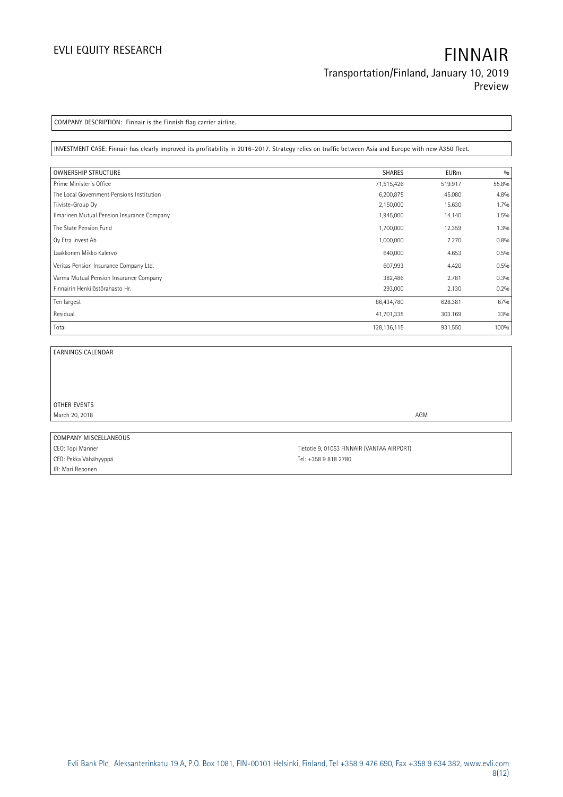**COMPANY DESCRIPTION: Finnair is the Finnish flag carrier airline.**

**INVESTMENT CASE: Finnair has clearly improved its profitability in 2016-2017. Strategy relies on traffic between Asia and Europe with new A350 fleet.**

| <b>OWNERSHIP STRUCTURE</b>                 | <b>SHARES</b> | <b>EURm</b> | 0/0   |
|--------------------------------------------|---------------|-------------|-------|
| Prime Minister's Office                    | 71,515,426    | 519.917     | 55.8% |
| The Local Government Pensions Institution  | 6,200,875     | 45.080      | 4.8%  |
| Tiiviste-Group Oy                          | 2,150,000     | 15.630      | 1.7%  |
| Ilmarinen Mutual Pension Insurance Company | 1,945,000     | 14.140      | 1.5%  |
| The State Pension Fund                     | 1,700,000     | 12.359      | 1.3%  |
| Oy Etra Invest Ab                          | 1,000,000     | 7.270       | 0.8%  |
| Laakkonen Mikko Kalervo                    | 640,000       | 4.653       | 0.5%  |
| Veritas Pension Insurance Company Ltd.     | 607,993       | 4.420       | 0.5%  |
| Varma Mutual Pension Insurance Company     | 382,486       | 2.781       | 0.3%  |
| Finnairin Henkilöstörahasto Hr.            | 293,000       | 2.130       | 0.2%  |
| Ten largest                                | 86,434,780    | 628.381     | 67%   |
| Residual                                   | 41,701,335    | 303.169     | 33%   |
| Total                                      | 128, 136, 115 | 931.550     | 100%  |

 $\overline{\phantom{0}}$ 

**EARNINGS CALENDAR**

**OTHER EVENTS** March 20, 2018 **AGM** 

**COMPANY MISCELLANEOUS** CFO: Pekka Vähähyyppä CFO: Pekka Vähähyyppä IR: Mari Reponen

CEO: Topi Manner Tietotie 9, 01053 FINNAIR (VANTAA AIRPORT)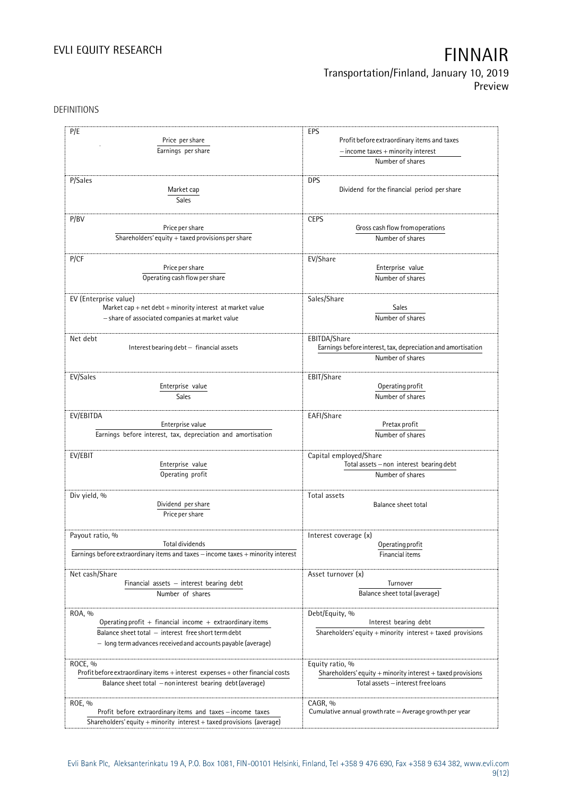## **Transportation/Finland, January 10, 2019 Preview**

DEFINITIONS

| P/E                                                                                                                                                                                       | EPS                                                                                                        |
|-------------------------------------------------------------------------------------------------------------------------------------------------------------------------------------------|------------------------------------------------------------------------------------------------------------|
| Price per share                                                                                                                                                                           | Profit before extraordinary items and taxes                                                                |
| Earnings per share                                                                                                                                                                        | $-$ income taxes $+$ minority interest<br>Number of shares                                                 |
| P/Sales<br>Market cap<br>Sales                                                                                                                                                            | <b>DPS</b><br>Dividend for the financial period per share                                                  |
| P/BV                                                                                                                                                                                      | <b>CEPS</b>                                                                                                |
| Price per share                                                                                                                                                                           | Gross cash flow from operations                                                                            |
| Shareholders' equity $+$ taxed provisions per share                                                                                                                                       | Number of shares                                                                                           |
| P/CF                                                                                                                                                                                      | EV/Share                                                                                                   |
| Price per share                                                                                                                                                                           | Enterprise value                                                                                           |
| Operating cash flow per share                                                                                                                                                             | Number of shares                                                                                           |
| EV (Enterprise value)                                                                                                                                                                     | Sales/Share                                                                                                |
| Market cap + net debt + minority interest at market value                                                                                                                                 | <b>Sales</b>                                                                                               |
| - share of associated companies at market value                                                                                                                                           | Number of shares                                                                                           |
| Net debt<br>Interest bearing debt - financial assets                                                                                                                                      | EBITDA/Share<br>Earnings before interest, tax, depreciation and amortisation<br>Number of shares           |
| EV/Sales                                                                                                                                                                                  | EBIT/Share                                                                                                 |
| Enterprise value                                                                                                                                                                          | Operating profit                                                                                           |
| Sales                                                                                                                                                                                     | Number of shares                                                                                           |
| EV/EBITDA                                                                                                                                                                                 | EAFI/Share                                                                                                 |
| Enterprise value                                                                                                                                                                          | Pretax profit                                                                                              |
| Earnings before interest, tax, depreciation and amortisation                                                                                                                              | Number of shares                                                                                           |
| EV/EBIT                                                                                                                                                                                   | Capital employed/Share                                                                                     |
| Enterprise value                                                                                                                                                                          | Total assets - non interest bearing debt                                                                   |
| Operating profit                                                                                                                                                                          | Number of shares                                                                                           |
| Div yield, %<br>Dividend per share<br>Price per share                                                                                                                                     | Total assets<br>Balance sheet total                                                                        |
| Payout ratio, %                                                                                                                                                                           | Interest coverage (x)                                                                                      |
| Total dividends                                                                                                                                                                           | Operating profit                                                                                           |
| Earnings before extraordinary items and taxes - income taxes + minority interest                                                                                                          | Financial items                                                                                            |
| Net cash/Share                                                                                                                                                                            | Asset turnover (x)                                                                                         |
| Financial assets $-$ interest bearing debt                                                                                                                                                | Turnover                                                                                                   |
| Number of shares                                                                                                                                                                          | Balance sheet total (average)                                                                              |
| ROA, %<br>Operating profit + financial income + extraordinary items<br>Balance sheet total - interest free short term debt<br>- long termadvances received and accounts payable (average) | Debt/Equity, %<br>Interest bearing debt<br>Shareholders' equity $+$ minority interest $+$ taxed provisions |
| ROCE, %                                                                                                                                                                                   | Equity ratio, %                                                                                            |
| Profit before extraordinary items + interest expenses + other financial costs                                                                                                             | Shareholders' equity + minority interest + taxed provisions                                                |
| Balance sheet total - non interest bearing debt (average)                                                                                                                                 | Total assets - interest free loans                                                                         |
| ROE, %<br>Profit before extraordinary items and taxes - income taxes<br>Shareholders' equity + minority interest + taxed provisions (average)                                             | CAGR, %<br>Cumulative annual growth rate $=$ Average growth per year                                       |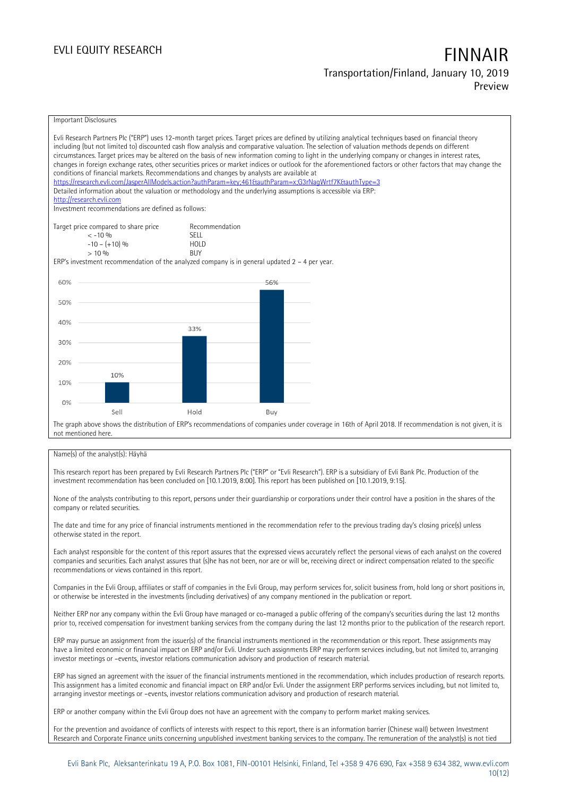## **EVLI EQUITY RESEARCH FINNAIR Transportation/Finland, January 10, 2019 Preview**

Important Disclosures Evli Research Partners Plc ("ERP") uses 12-month target prices. Target prices are defined by utilizing analytical techniques based on financial theory including (but not limited to) discounted cash flow analysis and comparative valuation. The selection of valuation methods depends on different circumstances. Target prices may be altered on the basis of new information coming to light in the underlying company or changes in interest rates, changes in foreign exchange rates, other securities prices or market indices or outlook for the aforementioned factors or other factors that may change the conditions of financial markets. Recommendations and changes by analysts are available at https://research.evli.com/JasperAllModels.action?authParam=key;461&tauthParam=x;G3rNagWrtf7K&tauthType=3 Detailed information about the valuation or methodology and the underlying assumptions is accessible via ERP: [http://research.evli.com](http://research.evli.com/) Investment recommendations are defined as follows: Target price compared to share price Recommendation<br>  $\leq -10\%$ < -10 % SELL  $-10 - (+10) \%$  HOL<br> $> 10 \%$  RIIY  $> 10\%$ ERP's investment recommendation of the analyzed company is in general updated 2 – 4 per year. 60% 56% 50% 40%  $33%$ 30% 20% 10% 10%  $0%$ Hold Sel Buy The graph above shows the distribution of ERP's recommendations of companies under coverage in 16th of April 2018. If recommendation is not given, it is not mentioned here.

### Name(s) of the analyst(s): Häyhä

This research report has been prepared by Evli Research Partners Plc ("ERP" or "Evli Research"). ERP is a subsidiary of Evli Bank Plc. Production of the investment recommendation has been concluded on [10.1.2019, 8:00]. This report has been published on [10.1.2019, 9:15].

None of the analysts contributing to this report, persons under their guardianship or corporations under their control have a position in the shares of the company or related securities.

The date and time for any price of financial instruments mentioned in the recommendation refer to the previous trading day's closing price(s) unless otherwise stated in the report.

Each analyst responsible for the content of this report assures that the expressed views accurately reflect the personal views of each analyst on the covered companies and securities. Each analyst assures that (s)he has not been, nor are or will be, receiving direct or indirect compensation related to the specific recommendations or views contained in this report.

Companies in the Evli Group, affiliates or staff of companies in the Evli Group, may perform services for, solicit business from, hold long or short positions in, or otherwise be interested in the investments (including derivatives) of any company mentioned in the publication or report.

Neither ERP nor any company within the Evli Group have managed or co-managed a public offering of the company's securities during the last 12 months prior to, received compensation for investment banking services from the company during the last 12 months prior to the publication of the research report.

ERP may pursue an assignment from the issuer(s) of the financial instruments mentioned in the recommendation or this report. These assignments may have a limited economic or financial impact on ERP and/or Evli. Under such assignments ERP may perform services including, but not limited to, arranging investor meetings or –events, investor relations communication advisory and production of research material.

ERP has signed an agreement with the issuer of the financial instruments mentioned in the recommendation, which includes production of research reports. This assignment has a limited economic and financial impact on ERP and/or Evli. Under the assignment ERP performs services including, but not limited to, arranging investor meetings or –events, investor relations communication advisory and production of research material.

ERP or another company within the Evli Group does not have an agreement with the company to perform market making services.

For the prevention and avoidance of conflicts of interests with respect to this report, there is an information barrier (Chinese wall) between Investment Research and Corporate Finance units concerning unpublished investment banking services to the company. The remuneration of the analyst(s) is not tied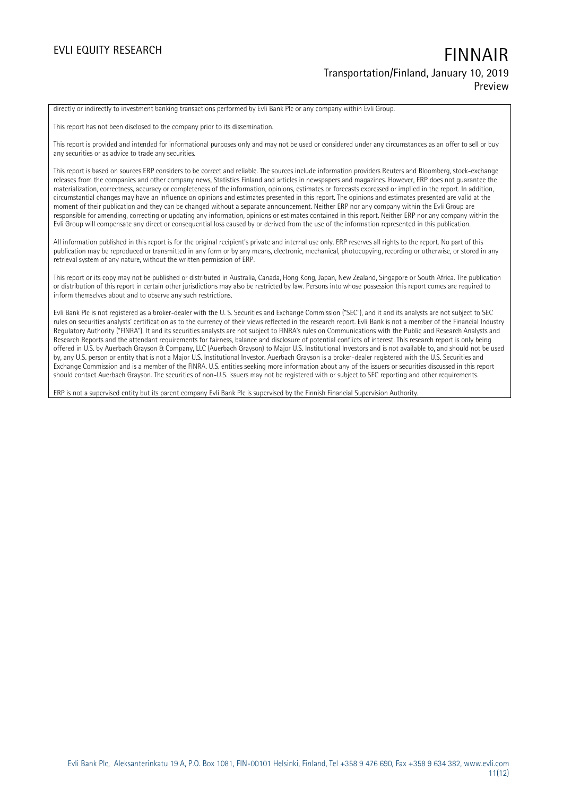## **EVLI EQUITY RESEARCH FINNAIR Transportation/Finland, January 10, 2019 Preview**

directly or indirectly to investment banking transactions performed by Evli Bank Plc or any company within Evli Group.

This report has not been disclosed to the company prior to its dissemination.

This report is provided and intended for informational purposes only and may not be used or considered under any circumstances as an offer to sell or buy any securities or as advice to trade any securities.

This report is based on sources ERP considers to be correct and reliable. The sources include information providers Reuters and Bloomberg, stock-exchange releases from the companies and other company news, Statistics Finland and articles in newspapers and magazines. However, ERP does not guarantee the materialization, correctness, accuracy or completeness of the information, opinions, estimates or forecasts expressed or implied in the report. In addition, circumstantial changes may have an influence on opinions and estimates presented in this report. The opinions and estimates presented are valid at the moment of their publication and they can be changed without a separate announcement. Neither ERP nor any company within the Evli Group are responsible for amending, correcting or updating any information, opinions or estimates contained in this report. Neither ERP nor any company within the Evli Group will compensate any direct or consequential loss caused by or derived from the use of the information represented in this publication.

All information published in this report is for the original recipient's private and internal use only. ERP reserves all rights to the report. No part of this publication may be reproduced or transmitted in any form or by any means, electronic, mechanical, photocopying, recording or otherwise, or stored in any retrieval system of any nature, without the written permission of ERP.

This report or its copy may not be published or distributed in Australia, Canada, Hong Kong, Japan, New Zealand, Singapore or South Africa. The publication or distribution of this report in certain other jurisdictions may also be restricted by law. Persons into whose possession this report comes are required to inform themselves about and to observe any such restrictions.

Evli Bank Plc is not registered as a broker-dealer with the U. S. Securities and Exchange Commission ("SEC"), and it and its analysts are not subject to SEC rules on securities analysts' certification as to the currency of their views reflected in the research report. Evli Bank is not a member of the Financial Industry Regulatory Authority ("FINRA"). It and its securities analysts are not subject to FINRA's rules on Communications with the Public and Research Analysts and Research Reports and the attendant requirements for fairness, balance and disclosure of potential conflicts of interest. This research report is only being offered in U.S. by Auerbach Grayson & Company, LLC (Auerbach Grayson) to Major U.S. Institutional Investors and is not available to, and should not be used by, any U.S. person or entity that is not a Major U.S. Institutional Investor. Auerbach Grayson is a broker-dealer registered with the U.S. Securities and Exchange Commission and is a member of the FINRA. U.S. entities seeking more information about any of the issuers or securities discussed in this report should contact Auerbach Grayson. The securities of non-U.S. issuers may not be registered with or subject to SEC reporting and other requirements.

ERP is not a supervised entity but its parent company Evli Bank Plc is supervised by the Finnish Financial Supervision Authority.